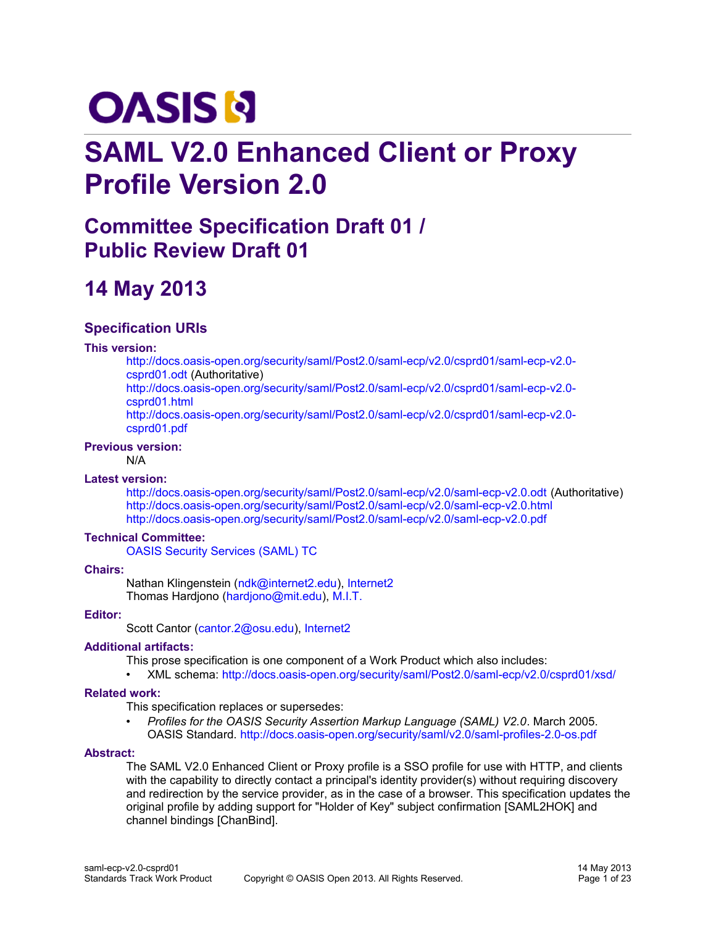# **OASIS N**

# **SAML V2.0 Enhanced Client or Proxy Profile Version 2.0**

# **Committee Specification Draft 01 / Public Review Draft 01**

# **14 May 2013**

# **Specification URIs**

#### **This version:**

[http://docs.oasis-open.org/security/saml/Post2.0/saml-ecp/v2.0/csprd01/saml-ecp-v2.0](http://docs.oasis-open.org/security/saml/Post2.0/saml-ecp/v2.0/csprd01/saml-ecp-v2.0-csprd01.odt) [csprd01.odt](http://docs.oasis-open.org/security/saml/Post2.0/saml-ecp/v2.0/csprd01/saml-ecp-v2.0-csprd01.odt) (Authoritative)

[http://docs.oasis-open.org/security/saml/Post2.0/saml-ecp/v2.0/csprd01/saml-ecp-v2.0](http://docs.oasis-open.org/security/saml/Post2.0/saml-ecp/v2.0/csprd01/saml-ecp-v2.0-csprd01.html) [csprd01.html](http://docs.oasis-open.org/security/saml/Post2.0/saml-ecp/v2.0/csprd01/saml-ecp-v2.0-csprd01.html)

[http://docs.oasis-open.org/security/saml/Post2.0/saml-ecp/v2.0/csprd01/saml-ecp-v2.0](http://docs.oasis-open.org/security/saml/Post2.0/saml-ecp/v2.0/csprd01/saml-ecp-v2.0-csprd01.pdf) [csprd01.pdf](http://docs.oasis-open.org/security/saml/Post2.0/saml-ecp/v2.0/csprd01/saml-ecp-v2.0-csprd01.pdf)

#### **Previous version:**

N/A

#### **Latest version:**

<http://docs.oasis-open.org/security/saml/Post2.0/saml-ecp/v2.0/saml-ecp-v2.0.odt>(Authoritative) <http://docs.oasis-open.org/security/saml/Post2.0/saml-ecp/v2.0/saml-ecp-v2.0.html> <http://docs.oasis-open.org/security/saml/Post2.0/saml-ecp/v2.0/saml-ecp-v2.0.pdf>

#### **Technical Committee:**

[OASIS Security Services \(SAML\) TC](https://www.oasis-open.org/committees/security/)

#### **Chairs:**

Nathan Klingenstein [\(ndk@internet2.edu\)](mailto:ndk@internet2.edu), [Internet2](http://www.internet2.edu/) Thomas Hardjono [\(hardjono@mit.edu\)](mailto:hardjono@mit.edu), [M.I.T.](http://www.mit.edu/)

#### **Editor:**

Scott Cantor [\(cantor.2@osu.edu\)](mailto:cantor.2@osu.edu), [Internet2](http://www.internet2.edu/)

#### **Additional artifacts:**

This prose specification is one component of a Work Product which also includes:

• XML schema:<http://docs.oasis-open.org/security/saml/Post2.0/saml-ecp/v2.0/csprd01/xsd/>

#### **Related work:**

This specification replaces or supersedes:

• *Profiles for the OASIS Security Assertion Markup Language (SAML) V2.0*. March 2005. OASIS Standard.<http://docs.oasis-open.org/security/saml/v2.0/saml-profiles-2.0-os.pdf>

#### **Abstract:**

The SAML V2.0 Enhanced Client or Proxy profile is a SSO profile for use with HTTP, and clients with the capability to directly contact a principal's identity provider(s) without requiring discovery and redirection by the service provider, as in the case of a browser. This specification updates the original profile by adding support for "Holder of Key" subject confirmation [SAML2HOK] and channel bindings [ChanBind].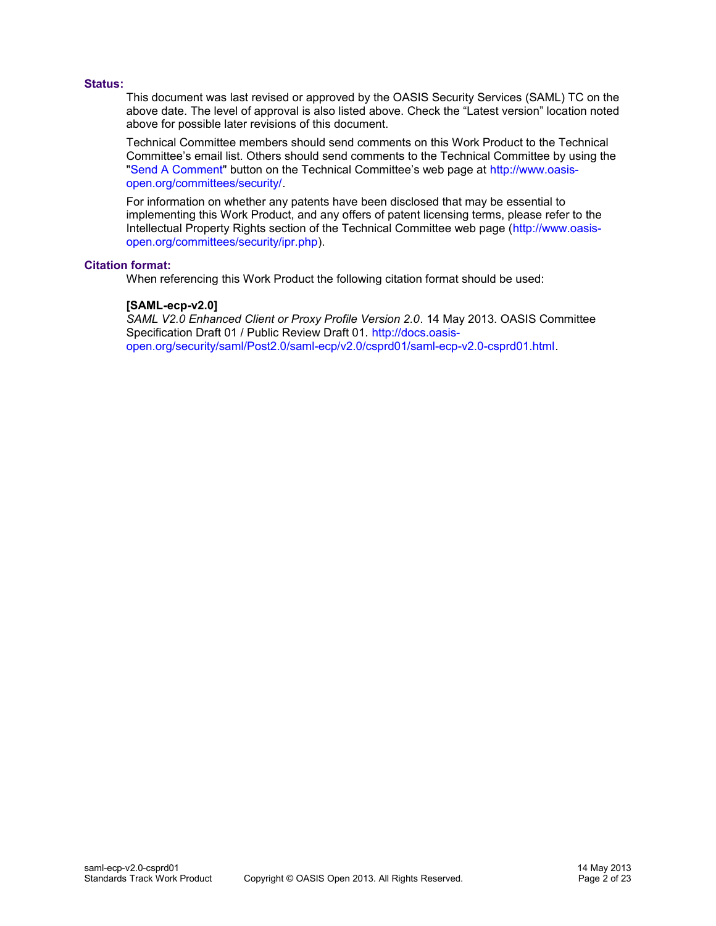#### **Status:**

This document was last revised or approved by the OASIS Security Services (SAML) TC on the above date. The level of approval is also listed above. Check the "Latest version" location noted above for possible later revisions of this document.

Technical Committee members should send comments on this Work Product to the Technical Committee's email list. Others should send comments to the Technical Committee by using the ["Send A Comment"](http://www.oasis-open.org/committees/comments/index.php?wg_abbrev=security) button on the Technical Committee's web page at [http://www.oasis](http://www.oasis-open.org/committees/security/)[open.org/committees/security/.](http://www.oasis-open.org/committees/security/)

For information on whether any patents have been disclosed that may be essential to implementing this Work Product, and any offers of patent licensing terms, please refer to the Intellectual Property Rights section of the Technical Committee web page [\(http://www.oasis](http://www.oasis-open.org/committees/security/ipr.php)[open.org/committees/security/ipr.php\)](http://www.oasis-open.org/committees/security/ipr.php).

#### **Citation format:**

When referencing this Work Product the following citation format should be used:

#### **[SAML-ecp-v2.0]**

*SAML V2.0 Enhanced Client or Proxy Profile Version 2.0*. 14 May 2013. OASIS Committee Specification Draft 01 / Public Review Draft 01. [http://docs.oasis](http://docs.oasis-open.org/security/saml/Post2.0/saml-ecp/v2.0/csprd01/saml-ecp-v2.0-csprd01.html)[open.org/security/saml/Post2.0/saml-ecp/v2.0/csprd01/saml-ecp-v2.0-csprd01.html.](http://docs.oasis-open.org/security/saml/Post2.0/saml-ecp/v2.0/csprd01/saml-ecp-v2.0-csprd01.html)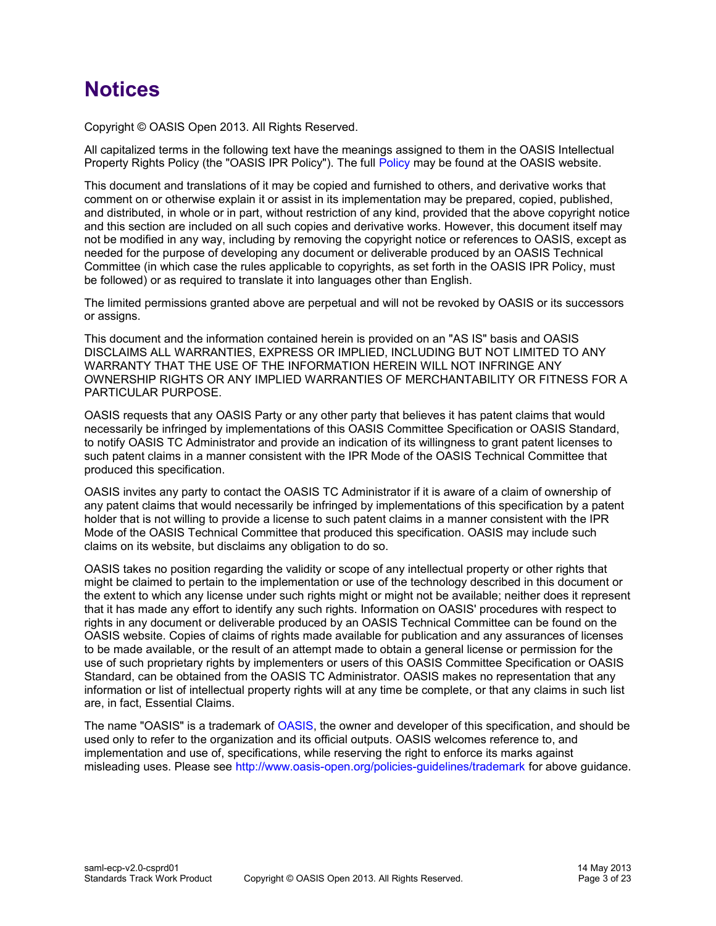# **Notices**

Copyright © OASIS Open 2013. All Rights Reserved.

All capitalized terms in the following text have the meanings assigned to them in the OASIS Intellectual Property Rights Policy (the "OASIS IPR Policy"). The full [Policy](http://www.oasis-open.org/policies-guidelines/ipr) may be found at the OASIS website.

This document and translations of it may be copied and furnished to others, and derivative works that comment on or otherwise explain it or assist in its implementation may be prepared, copied, published, and distributed, in whole or in part, without restriction of any kind, provided that the above copyright notice and this section are included on all such copies and derivative works. However, this document itself may not be modified in any way, including by removing the copyright notice or references to OASIS, except as needed for the purpose of developing any document or deliverable produced by an OASIS Technical Committee (in which case the rules applicable to copyrights, as set forth in the OASIS IPR Policy, must be followed) or as required to translate it into languages other than English.

The limited permissions granted above are perpetual and will not be revoked by OASIS or its successors or assigns.

This document and the information contained herein is provided on an "AS IS" basis and OASIS DISCLAIMS ALL WARRANTIES, EXPRESS OR IMPLIED, INCLUDING BUT NOT LIMITED TO ANY WARRANTY THAT THE USE OF THE INFORMATION HEREIN WILL NOT INFRINGE ANY OWNERSHIP RIGHTS OR ANY IMPLIED WARRANTIES OF MERCHANTABILITY OR FITNESS FOR A PARTICULAR PURPOSE.

OASIS requests that any OASIS Party or any other party that believes it has patent claims that would necessarily be infringed by implementations of this OASIS Committee Specification or OASIS Standard, to notify OASIS TC Administrator and provide an indication of its willingness to grant patent licenses to such patent claims in a manner consistent with the IPR Mode of the OASIS Technical Committee that produced this specification.

OASIS invites any party to contact the OASIS TC Administrator if it is aware of a claim of ownership of any patent claims that would necessarily be infringed by implementations of this specification by a patent holder that is not willing to provide a license to such patent claims in a manner consistent with the IPR Mode of the OASIS Technical Committee that produced this specification. OASIS may include such claims on its website, but disclaims any obligation to do so.

OASIS takes no position regarding the validity or scope of any intellectual property or other rights that might be claimed to pertain to the implementation or use of the technology described in this document or the extent to which any license under such rights might or might not be available; neither does it represent that it has made any effort to identify any such rights. Information on OASIS' procedures with respect to rights in any document or deliverable produced by an OASIS Technical Committee can be found on the OASIS website. Copies of claims of rights made available for publication and any assurances of licenses to be made available, or the result of an attempt made to obtain a general license or permission for the use of such proprietary rights by implementers or users of this OASIS Committee Specification or OASIS Standard, can be obtained from the OASIS TC Administrator. OASIS makes no representation that any information or list of intellectual property rights will at any time be complete, or that any claims in such list are, in fact, Essential Claims.

The name "OASIS" is a trademark of [OASIS,](http://www.oasis-open.org/) the owner and developer of this specification, and should be used only to refer to the organization and its official outputs. OASIS welcomes reference to, and implementation and use of, specifications, while reserving the right to enforce its marks against misleading uses. Please see<http://www.oasis-open.org/policies-guidelines/trademark>for above guidance.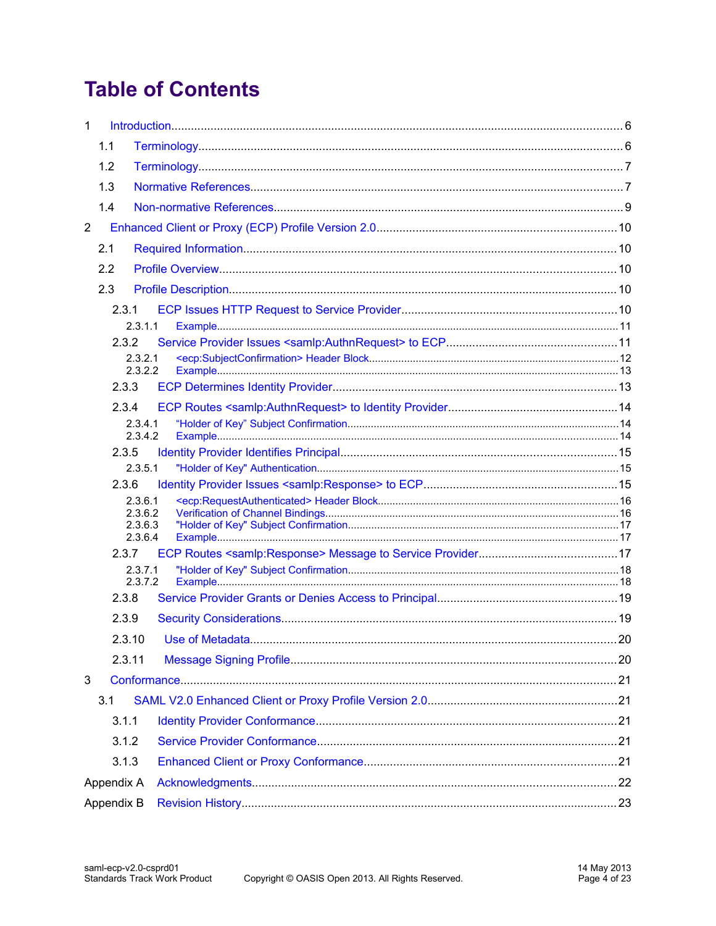# **Table of Contents**

| $\mathbf{1}$   |       |                    |  |
|----------------|-------|--------------------|--|
|                | 1.1   |                    |  |
|                | 1.2   |                    |  |
|                | 1.3   |                    |  |
|                | 1.4   |                    |  |
| $\overline{2}$ |       |                    |  |
|                | 2.1   |                    |  |
|                | 2.2   |                    |  |
|                | 2.3   |                    |  |
|                | 2.3.1 |                    |  |
|                |       | 2.3.1.1            |  |
|                | 2.3.2 |                    |  |
|                |       | 2.3.2.1<br>2.3.2.2 |  |
|                | 2.3.3 |                    |  |
|                | 2.3.4 |                    |  |
|                |       | 2.3.4.1            |  |
|                | 2.3.5 | 2.3.4.2            |  |
|                |       | 2.3.5.1            |  |
|                | 2.3.6 |                    |  |
|                |       | 2.3.6.1            |  |
|                |       | 2.3.6.2<br>2.3.6.3 |  |
|                |       | 2.3.6.4            |  |
|                | 2.3.7 | 2.3.7.1            |  |
|                |       | 2.3.7.2            |  |
|                | 2.3.8 |                    |  |
|                | 2.3.9 |                    |  |
|                |       | 2.3.10             |  |
|                |       | 2.3.11             |  |
| 3              |       |                    |  |
|                | 3.1   |                    |  |
|                | 3.1.1 |                    |  |
|                | 3.1.2 |                    |  |
|                |       | 3.1.3              |  |
| Appendix A     |       |                    |  |
| Appendix B     |       |                    |  |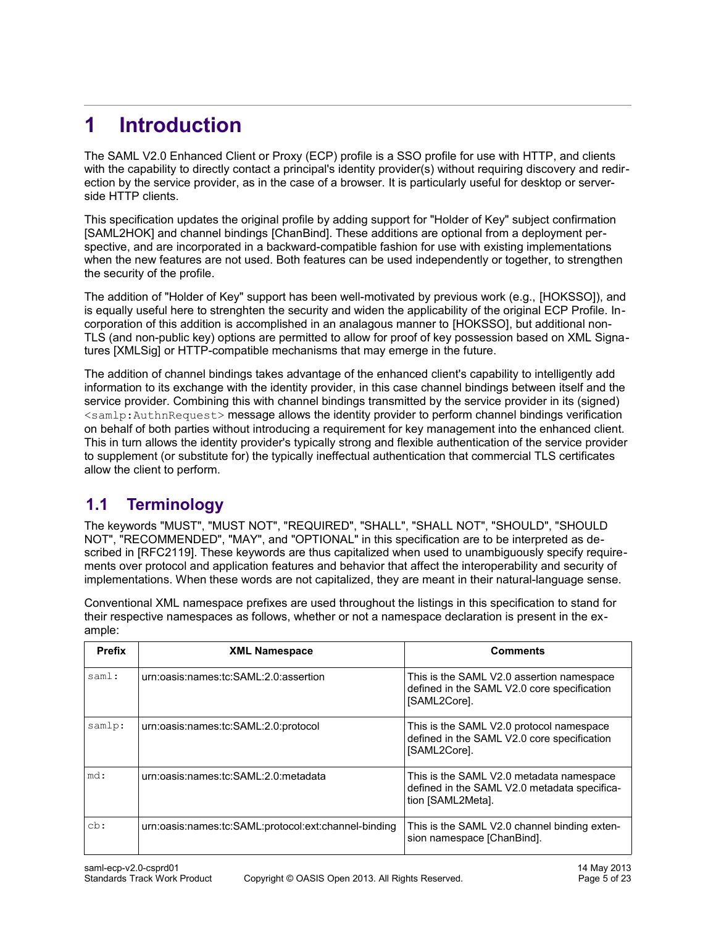# <span id="page-4-1"></span>**1 Introduction**

The SAML V2.0 Enhanced Client or Proxy (ECP) profile is a SSO profile for use with HTTP, and clients with the capability to directly contact a principal's identity provider(s) without requiring discovery and redirection by the service provider, as in the case of a browser. It is particularly useful for desktop or serverside HTTP clients.

This specification updates the original profile by adding support for "Holder of Key" subject confirmatio[n](#page-6-0) [\[SAML2HOK\]](#page-6-0) and channel bindings [\[ChanBind\].](#page-5-2) These additions are optional from a deployment perspective, and are incorporated in a backward-compatible fashion for use with existing implementations when the new features are not used. Both features can be used independently or together, to strengthen the security of the profile.

The addition of "Holder of Key" support has been well-motivated by previous work (e.g., [\[HOKSSO\]\)](#page-6-4), and is equally useful here to strenghten the security and widen the applicability of the original ECP Profile. Incorporation of this addition is accomplished in an analagous manner to [\[HOKSSO\],](#page-6-4) but additional non-TLS (and non-public key) options are permitted to allow for proof of key possession based on XML Signatures [\[XMLSig\]](#page-7-1) or HTTP-compatible mechanisms that may emerge in the future.

The addition of channel bindings takes advantage of the enhanced client's capability to intelligently add information to its exchange with the identity provider, in this case channel bindings between itself and the service provider. Combining this with channel bindings transmitted by the service provider in its (signed) <samlp:AuthnRequest> message allows the identity provider to perform channel bindings verification on behalf of both parties without introducing a requirement for key management into the enhanced client. This in turn allows the identity provider's typically strong and flexible authentication of the service provider to supplement (or substitute for) the typically ineffectual authentication that commercial TLS certificates allow the client to perform.

# <span id="page-4-0"></span>**1.1 Terminology**

The keywords "MUST", "MUST NOT", "REQUIRED", "SHALL", "SHALL NOT", "SHOULD", "SHOULD NOT", "RECOMMENDED", "MAY", and "OPTIONAL" in this specification are to be interpreted as described in [\[RFC2119\].](#page-6-3) These keywords are thus capitalized when used to unambiguously specify requirements over protocol and application features and behavior that affect the interoperability and security of implementations. When these words are not capitalized, they are meant in their natural-language sense.

Conventional XML namespace prefixes are used throughout the listings in this specification to stand for their respective namespaces as follows, whether or not a namespace declaration is present in the example:

| <b>Prefix</b> | <b>XML Namespace</b>                                 | <b>Comments</b>                                                                                               |
|---------------|------------------------------------------------------|---------------------------------------------------------------------------------------------------------------|
| saml:         | urn:oasis:names:tc:SAML:2.0:assertion                | This is the SAML V2.0 assertion namespace<br>defined in the SAML V2.0 core specification<br>[SAML2Core].      |
| samlp:        | urn:oasis:names:tc:SAML:2.0:protocol                 | This is the SAML V2.0 protocol namespace<br>defined in the SAML V2.0 core specification<br>[SAML2Core].       |
| md:           | urn:oasis:names:tc:SAML:2.0:metadata                 | This is the SAML V2.0 metadata namespace<br>defined in the SAML V2.0 metadata specifica-<br>tion [SAML2Meta]. |
| cb:           | urn:oasis:names:tc:SAML:protocol:ext:channel-binding | This is the SAML V2.0 channel binding exten-<br>sion namespace [ChanBind].                                    |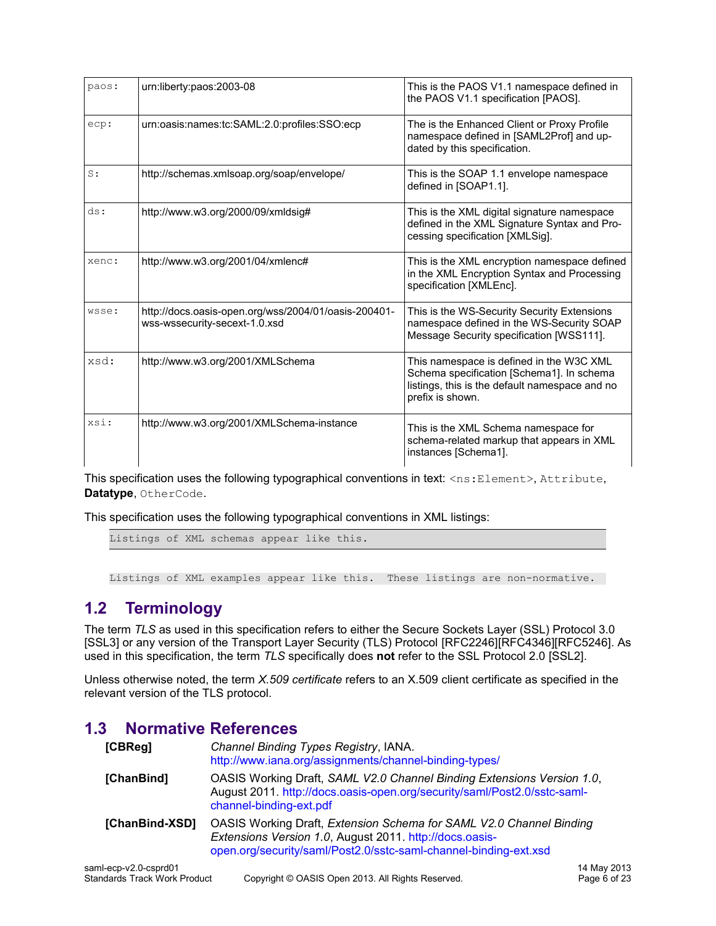| paos: | urn:liberty:paos:2003-08                                                              | This is the PAOS V1.1 namespace defined in<br>the PAOS V1.1 specification [PAOS].                                                                           |
|-------|---------------------------------------------------------------------------------------|-------------------------------------------------------------------------------------------------------------------------------------------------------------|
| ecp:  | urn:oasis:names:tc:SAML:2.0:profiles:SSO:ecp                                          | The is the Enhanced Client or Proxy Profile<br>namespace defined in [SAML2Prof] and up-<br>dated by this specification.                                     |
| S:    | http://schemas.xmlsoap.org/soap/envelope/                                             | This is the SOAP 1.1 envelope namespace<br>defined in [SOAP1.1].                                                                                            |
| ds:   | http://www.w3.org/2000/09/xmldsig#                                                    | This is the XML digital signature namespace<br>defined in the XML Signature Syntax and Pro-<br>cessing specification [XMLSig].                              |
| xenc: | http://www.w3.org/2001/04/xmlenc#                                                     | This is the XML encryption namespace defined<br>in the XML Encryption Syntax and Processing<br>specification [XMLEnc].                                      |
| wsse: | http://docs.oasis-open.org/wss/2004/01/oasis-200401-<br>wss-wssecurity-secext-1.0.xsd | This is the WS-Security Security Extensions<br>namespace defined in the WS-Security SOAP<br>Message Security specification [WSS111].                        |
| xsd:  | http://www.w3.org/2001/XMLSchema                                                      | This namespace is defined in the W3C XML<br>Schema specification [Schema1]. In schema<br>listings, this is the default namespace and no<br>prefix is shown. |
| xsi:  | http://www.w3.org/2001/XMLSchema-instance                                             | This is the XML Schema namespace for<br>schema-related markup that appears in XML<br>instances [Schema1].                                                   |

This specification uses the following typographical conventions in text: <ns: Element>, Attribute, **Datatype**, OtherCode.

This specification uses the following typographical conventions in XML listings:

Listings of XML schemas appear like this.

<span id="page-5-1"></span>Listings of XML examples appear like this. These listings are non-normative.

# **1.2 Terminology**

The term *TLS* as used in this specification refers to either the Secure Sockets Layer (SSL) Protocol 3.[0](#page-7-3) [\[SSL3\]](#page-7-3) or any version of the Transport Layer Security (TLS) Protocol [\[RFC2246\]](#page-6-7)[\[RFC4346\]](#page-6-6)[\[RFC5246\].](#page-6-5) As used in this specification, the term *TLS* specifically does **not** refer to the SSL Protocol 2.0 [\[SSL2\].](#page-7-2)

Unless otherwise noted, the term *X.509 certificate* refers to an X.509 client certificate as specified in the relevant version of the TLS protocol.

# **1.3 Normative References**

<span id="page-5-2"></span><span id="page-5-0"></span>

| [CBReg]                | Channel Binding Types Registry, IANA.<br>http://www.iana.org/assignments/channel-binding-types/                                                                                                    |
|------------------------|----------------------------------------------------------------------------------------------------------------------------------------------------------------------------------------------------|
| [ChanBind]             | OASIS Working Draft, SAML V2.0 Channel Binding Extensions Version 1.0,<br>August 2011. http://docs.oasis-open.org/security/saml/Post2.0/sstc-saml-<br>channel-binding-ext.pdf                      |
| [ChanBind-XSD]         | OASIS Working Draft, Extension Schema for SAML V2.0 Channel Binding<br>Extensions Version 1.0, August 2011. http://docs.oasis-<br>open.org/security/saml/Post2.0/sstc-saml-channel-binding-ext.xsd |
| $\sim$ 0.0 $\sim$ 10.4 |                                                                                                                                                                                                    |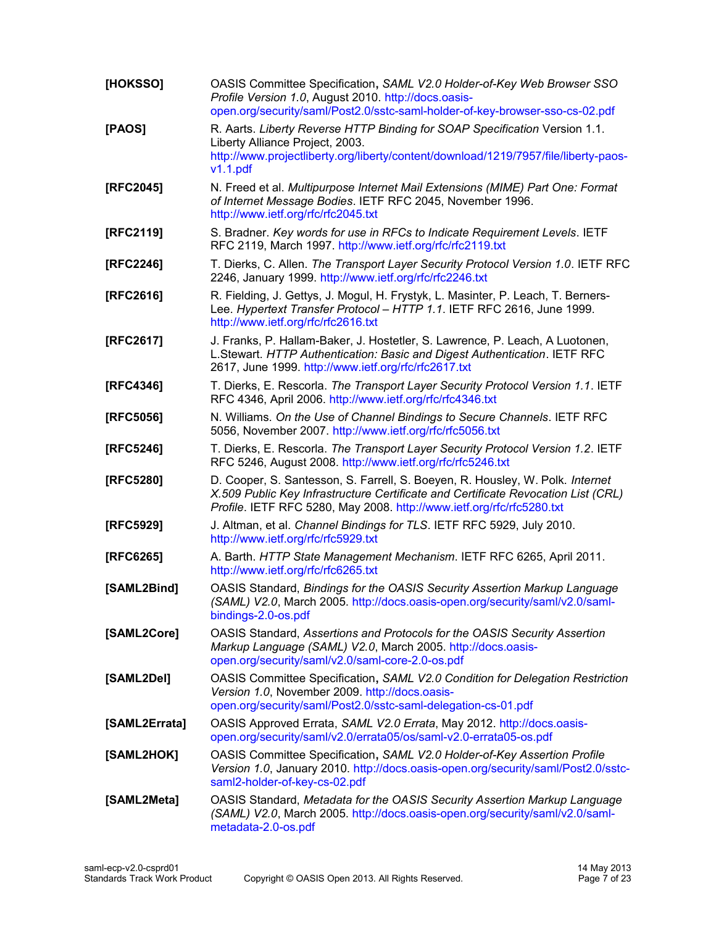<span id="page-6-15"></span><span id="page-6-14"></span><span id="page-6-13"></span><span id="page-6-12"></span><span id="page-6-11"></span><span id="page-6-10"></span><span id="page-6-9"></span><span id="page-6-8"></span><span id="page-6-7"></span><span id="page-6-6"></span><span id="page-6-5"></span><span id="page-6-4"></span><span id="page-6-3"></span><span id="page-6-2"></span><span id="page-6-1"></span><span id="page-6-0"></span>

| [HOKSSO]      | OASIS Committee Specification, SAML V2.0 Holder-of-Key Web Browser SSO<br>Profile Version 1.0, August 2010. http://docs.oasis-<br>open.org/security/saml/Post2.0/sstc-saml-holder-of-key-browser-sso-cs-02.pdf                              |
|---------------|---------------------------------------------------------------------------------------------------------------------------------------------------------------------------------------------------------------------------------------------|
| [PAOS]        | R. Aarts. Liberty Reverse HTTP Binding for SOAP Specification Version 1.1.<br>Liberty Alliance Project, 2003.<br>http://www.projectliberty.org/liberty/content/download/1219/7957/file/liberty-paos-<br>v1.1.pdf                            |
| [RFC2045]     | N. Freed et al. Multipurpose Internet Mail Extensions (MIME) Part One: Format<br>of Internet Message Bodies. IETF RFC 2045, November 1996.<br>http://www.ietf.org/rfc/rfc2045.txt                                                           |
| [RFC2119]     | S. Bradner. Key words for use in RFCs to Indicate Requirement Levels. IETF<br>RFC 2119, March 1997. http://www.ietf.org/rfc/rfc2119.txt                                                                                                     |
| [RFC2246]     | T. Dierks, C. Allen. The Transport Layer Security Protocol Version 1.0. IETF RFC<br>2246, January 1999. http://www.ietf.org/rfc/rfc2246.txt                                                                                                 |
| [RFC2616]     | R. Fielding, J. Gettys, J. Mogul, H. Frystyk, L. Masinter, P. Leach, T. Berners-<br>Lee. Hypertext Transfer Protocol - HTTP 1.1. IETF RFC 2616, June 1999.<br>http://www.ietf.org/rfc/rfc2616.txt                                           |
| [RFC2617]     | J. Franks, P. Hallam-Baker, J. Hostetler, S. Lawrence, P. Leach, A Luotonen,<br>L.Stewart. HTTP Authentication: Basic and Digest Authentication. IETF RFC<br>2617, June 1999. http://www.ietf.org/rfc/rfc2617.txt                           |
| [RFC4346]     | T. Dierks, E. Rescorla. The Transport Layer Security Protocol Version 1.1. IETF<br>RFC 4346, April 2006. http://www.ietf.org/rfc/rfc4346.txt                                                                                                |
| [RFC5056]     | N. Williams. On the Use of Channel Bindings to Secure Channels. IETF RFC<br>5056, November 2007. http://www.ietf.org/rfc/rfc5056.txt                                                                                                        |
| [RFC5246]     | T. Dierks, E. Rescorla. The Transport Layer Security Protocol Version 1.2. IETF<br>RFC 5246, August 2008. http://www.ietf.org/rfc/rfc5246.txt                                                                                               |
| [RFC5280]     | D. Cooper, S. Santesson, S. Farrell, S. Boeyen, R. Housley, W. Polk. Internet<br>X.509 Public Key Infrastructure Certificate and Certificate Revocation List (CRL)<br>Profile. IETF RFC 5280, May 2008. http://www.ietf.org/rfc/rfc5280.txt |
| [RFC5929]     | J. Altman, et al. Channel Bindings for TLS. IETF RFC 5929, July 2010.<br>http://www.ietf.org/rfc/rfc5929.txt                                                                                                                                |
| [RFC6265]     | A. Barth. HTTP State Management Mechanism. IETF RFC 6265, April 2011.<br>http://www.ietf.org/rfc/rfc6265.txt                                                                                                                                |
| [SAML2Bind]   | OASIS Standard, Bindings for the OASIS Security Assertion Markup Language<br>(SAML) V2.0, March 2005. http://docs.oasis-open.org/security/saml/v2.0/saml-<br>bindings-2.0-os.pdf                                                            |
| [SAML2Core]   | OASIS Standard, Assertions and Protocols for the OASIS Security Assertion<br>Markup Language (SAML) V2.0, March 2005. http://docs.oasis-<br>open.org/security/saml/v2.0/saml-core-2.0-os.pdf                                                |
| [SAML2Del]    | OASIS Committee Specification, SAML V2.0 Condition for Delegation Restriction<br>Version 1.0, November 2009. http://docs.oasis-<br>open.org/security/saml/Post2.0/sstc-saml-delegation-cs-01.pdf                                            |
| [SAML2Errata] | OASIS Approved Errata, SAML V2.0 Errata, May 2012. http://docs.oasis-<br>open.org/security/saml/v2.0/errata05/os/saml-v2.0-errata05-os.pdf                                                                                                  |
| [SAML2HOK]    | OASIS Committee Specification, SAML V2.0 Holder-of-Key Assertion Profile<br>Version 1.0, January 2010. http://docs.oasis-open.org/security/saml/Post2.0/sstc-<br>saml2-holder-of-key-cs-02.pdf                                              |
| [SAML2Meta]   | OASIS Standard, Metadata for the OASIS Security Assertion Markup Language<br>(SAML) V2.0, March 2005. http://docs.oasis-open.org/security/saml/v2.0/saml-<br>metadata-2.0-os.pdf                                                            |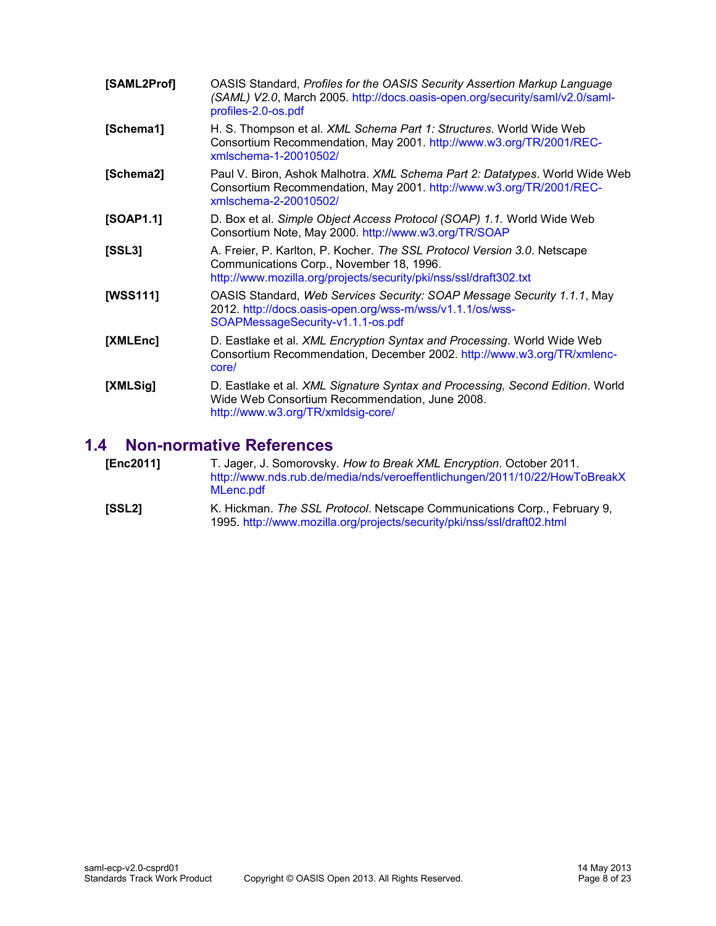<span id="page-7-8"></span><span id="page-7-7"></span><span id="page-7-4"></span><span id="page-7-3"></span>

| [SAML2Prof] | OASIS Standard, Profiles for the OASIS Security Assertion Markup Language<br>(SAML) V2.0, March 2005. http://docs.oasis-open.org/security/saml/v2.0/saml-<br>profiles-2.0-os.pdf          |
|-------------|-------------------------------------------------------------------------------------------------------------------------------------------------------------------------------------------|
| [Schema1]   | H. S. Thompson et al. XML Schema Part 1: Structures. World Wide Web<br>Consortium Recommendation, May 2001. http://www.w3.org/TR/2001/REC-<br>xmlschema-1-20010502/                       |
| [Schema2]   | Paul V. Biron, Ashok Malhotra. XML Schema Part 2: Datatypes. World Wide Web<br>Consortium Recommendation, May 2001. http://www.w3.org/TR/2001/REC-<br>xmlschema-2-20010502/               |
| [SOAP1.1]   | D. Box et al. Simple Object Access Protocol (SOAP) 1.1. World Wide Web<br>Consortium Note, May 2000. http://www.w3.org/TR/SOAP                                                            |
| [SSL3]      | A. Freier, P. Karlton, P. Kocher. The SSL Protocol Version 3.0. Netscape<br>Communications Corp., November 18, 1996.<br>http://www.mozilla.org/projects/security/pki/nss/ssl/draft302.txt |
| [WSS111]    | OASIS Standard, Web Services Security: SOAP Message Security 1.1.1, May<br>2012. http://docs.oasis-open.org/wss-m/wss/v1.1.1/os/wss-<br>SOAPMessageSecurity-v1.1.1-os.pdf                 |
| [XMLEnc]    | D. Eastlake et al. <i>XML Encryption Syntax and Processing</i> . World Wide Web<br>Consortium Recommendation, December 2002. http://www.w3.org/TR/xmlenc-<br>core/                        |
| [XMLSig]    | D. Eastlake et al. XML Signature Syntax and Processing, Second Edition. World<br>Wide Web Consortium Recommendation, June 2008.<br>http://www.w3.org/TR/xmldsig-core/                     |

# <span id="page-7-6"></span><span id="page-7-5"></span><span id="page-7-1"></span>**1.4 Non-normative References**

- <span id="page-7-9"></span><span id="page-7-0"></span>**[Enc2011]** T. Jager, J. Somorovsky. *How to Break XML Encryption*. October 2011. [http://www.nds.rub.de/media/nds/veroeffentlichungen/2011/10/22/HowToBreakX](http://www.nds.rub.de/media/nds/veroeffentlichungen/2011/10/22/HowToBreakXMLenc.pdf) [MLenc.pdf](http://www.nds.rub.de/media/nds/veroeffentlichungen/2011/10/22/HowToBreakXMLenc.pdf)
- <span id="page-7-2"></span>**[SSL2]** K. Hickman. *The SSL Protocol*. Netscape Communications Corp., February 9, 1995.<http://www.mozilla.org/projects/security/pki/nss/ssl/draft02.html>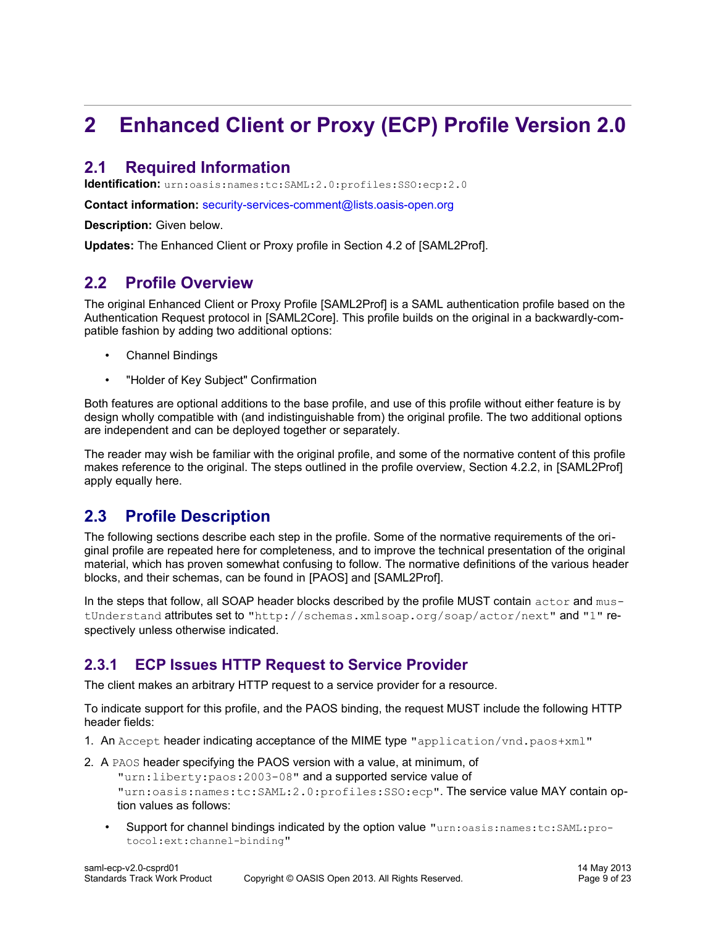# <span id="page-8-4"></span>**2 Enhanced Client or Proxy (ECP) Profile Version 2.0**

# <span id="page-8-3"></span>**2.1 Required Information**

**Identification:** urn:oasis:names:tc:SAML:2.0:profiles:SSO:ecp:2.0

**Contact information:** [security-services-comment@lists.oasis-open.org](mailto:security-services-comment@lists.oasis-open.org)

**[Description:](mailto:security-services-comment@lists.oasis-open.org)** [Given below.](mailto:security-services-comment@lists.oasis-open.org)

**[Updates:](mailto:security-services-comment@lists.oasis-open.org)** The Enhanced Client or Proxy profile in Section 4.2 of [\[SAML2Prof\].](#page-7-8)

# <span id="page-8-2"></span>**2.2 Profile Overview**

The original Enhanced Client or Proxy Profile [\[SAML2Prof\]](#page-7-8) is a SAML authentication profile based on the Authentication Request protocol in [\[SAML2Core\].](#page-6-2) This profile builds on the original in a backwardly-compatible fashion by adding two additional options:

- Channel Bindings
- "Holder of Key Subject" Confirmation

Both features are optional additions to the base profile, and use of this profile without either feature is by design wholly compatible with (and indistinguishable from) the original profile. The two additional options are independent and can be deployed together or separately.

The reader may wish be familiar with the original profile, and some of the normative content of this profile makes reference to the original. The steps outlined in the profile overview, Section 4.2.2, in [\[SAML2Prof\]](#page-7-8) apply equally here.

# <span id="page-8-1"></span>**2.3 Profile Description**

The following sections describe each step in the profile. Some of the normative requirements of the original profile are repeated here for completeness, and to improve the technical presentation of the original material, which has proven somewhat confusing to follow. The normative definitions of the various header blocks, and their schemas, can be found in [\[PAOS\]](#page-6-8) and [\[SAML2Prof\].](#page-7-8)

In the steps that follow, all SOAP header blocks described by the profile MUST contain actor and mustUnderstand attributes set to "http://schemas.xmlsoap.org/soap/actor/next" and "1" respectively unless otherwise indicated.

# <span id="page-8-0"></span>**2.3.1 ECP Issues HTTP Request to Service Provider**

The client makes an arbitrary HTTP request to a service provider for a resource.

To indicate support for this profile, and the PAOS binding, the request MUST include the following HTTP header fields:

- 1. An  $Accept$  header indicating acceptance of the MIME type "application/vnd.paos+xml"
- 2. A PAOS header specifying the PAOS version with a value, at minimum, of "urn:liberty:paos:2003-08" and a supported service value of "urn:oasis:names:tc:SAML:2.0:profiles:SSO:ecp". The service value MAY contain option values as follows:
	- Support for channel bindings indicated by the option value "urn:oasis:names:tc:SAML:protocol:ext:channel-binding"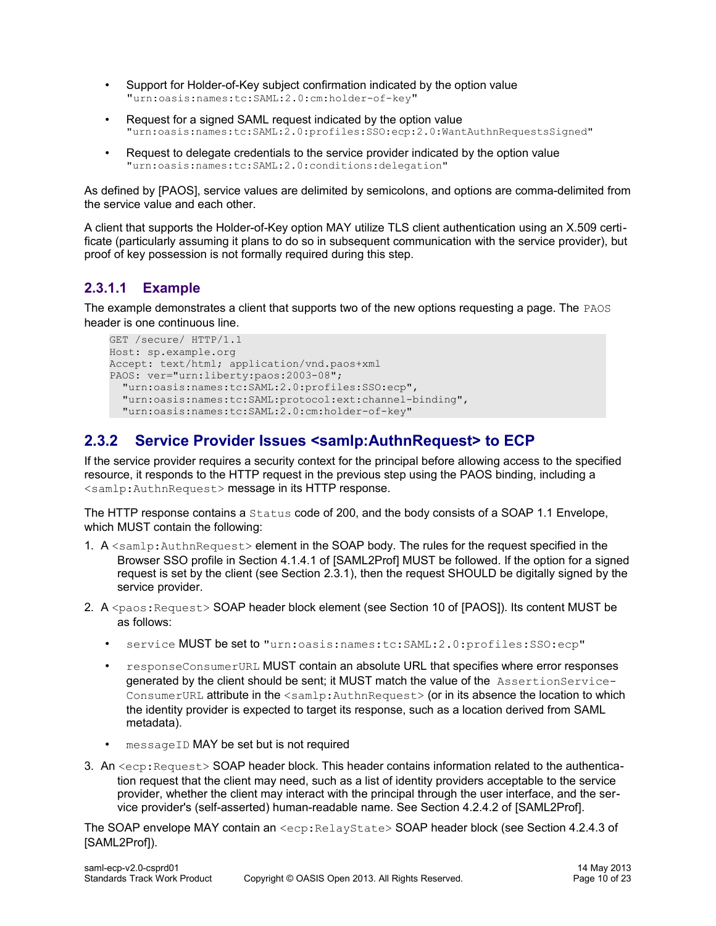- Support for Holder-of-Key subject confirmation indicated by the option value "urn:oasis:names:tc:SAML:2.0:cm:holder-of-key"
- Request for a signed SAML request indicated by the option value "urn:oasis:names:tc:SAML:2.0:profiles:SSO:ecp:2.0:WantAuthnRequestsSigned"
- Request to delegate credentials to the service provider indicated by the option value "urn:oasis:names:tc:SAML:2.0:conditions:delegation"

As defined by [\[PAOS\],](#page-6-8) service values are delimited by semicolons, and options are comma-delimited from the service value and each other.

A client that supports the Holder-of-Key option MAY utilize TLS client authentication using an X.509 certificate (particularly assuming it plans to do so in subsequent communication with the service provider), but proof of key possession is not formally required during this step.

# <span id="page-9-1"></span>**2.3.1.1 Example**

The example demonstrates a client that supports two of the new options requesting a page. The PAOS header is one continuous line.

```
GET /secure/ HTTP/1.1
Host: sp.example.org
Accept: text/html; application/vnd.paos+xml
PAOS: ver="urn:liberty:paos:2003-08";
   "urn:oasis:names:tc:SAML:2.0:profiles:SSO:ecp",
   "urn:oasis:names:tc:SAML:protocol:ext:channel-binding",
   "urn:oasis:names:tc:SAML:2.0:cm:holder-of-key"
```
# <span id="page-9-0"></span>**2.3.2 Service Provider Issues <samlp:AuthnRequest> to ECP**

If the service provider requires a security context for the principal before allowing access to the specified resource, it responds to the HTTP request in the previous step using the PAOS binding, including a <samlp:AuthnRequest> message in its HTTP response.

The HTTP response contains a Status code of 200, and the body consists of a SOAP 1.1 Envelope, which MUST contain the following:

- 1. A <samlp: AuthnRequest> element in the SOAP body. The rules for the request specified in the Browser SSO profile in Section 4.1.4.1 of [\[SAML2Prof\]](#page-7-8) MUST be followed. If the option for a signed request is set by the client (see Section [2.3.1\)](#page-8-0), then the request SHOULD be digitally signed by the service provider.
- 2. A <paos: Request> SOAP header block element (see Section 10 of [\[PAOS\]\)](#page-6-8). Its content MUST be as follows:
	- service MUST be set to "urn:oasis:names:tc:SAML:2.0:profiles:SSO:ecp"
	- responseConsumerURL MUST contain an absolute URL that specifies where error responses generated by the client should be sent; it MUST match the value of the AssertionService-ConsumerURL attribute in the <samlp:AuthnRequest> (or in its absence the location to which the identity provider is expected to target its response, such as a location derived from SAML metadata).
	- messageID MAY be set but is not required
- 3. An <ecp: Request> SOAP header block. This header contains information related to the authentication request that the client may need, such as a list of identity providers acceptable to the service provider, whether the client may interact with the principal through the user interface, and the service provider's (self-asserted) human-readable name. See Section 4.2.4.2 of [\[SAML2Prof\].](#page-7-8)

The SOAP envelope MAY contain an <ecp: RelayState> SOAP header block (see Section 4.2.4.3 o[f](#page-7-8) [\[SAML2Prof\]\)](#page-7-8).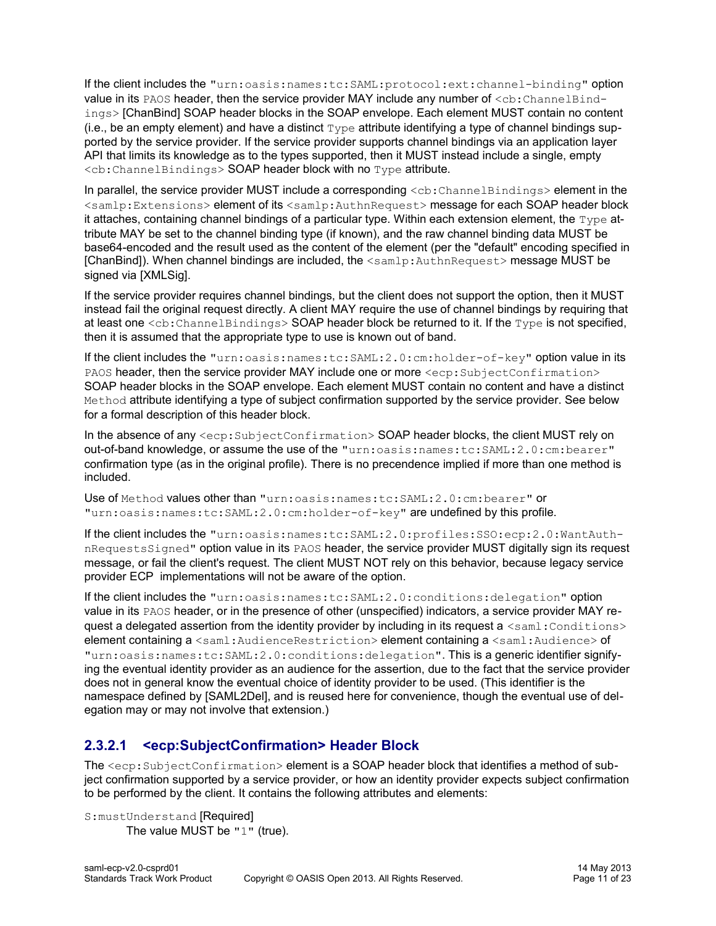If the client includes the "urn:oasis:names:tc:SAML:protocol:ext:channel-binding" option value in its PAOS header, then the service provider MAY include any number of  $\langle$ cb:ChannelBindings> [\[ChanBind\]](#page-5-2) SOAP header blocks in the SOAP envelope. Each element MUST contain no content (i.e., be an empty element) and have a distinct  $Type$  attribute identifying a type of channel bindings supported by the service provider. If the service provider supports channel bindings via an application layer API that limits its knowledge as to the types supported, then it MUST instead include a single, empty <cb:ChannelBindings> SOAP header block with no Type attribute.

In parallel, the service provider MUST include a corresponding  $\langle cb; {\tt ChannelBindings}\rangle$  element in the <samlp:Extensions> element of its <samlp:AuthnRequest> message for each SOAP header block it attaches, containing channel bindings of a particular type. Within each extension element, the  $Type$  attribute MAY be set to the channel binding type (if known), and the raw channel binding data MUST be base64-encoded and the result used as the content of the element (per the "default" encoding specified in [\[ChanBind\]\)](#page-5-2). When channel bindings are included, the <samlp:AuthnRequest> message MUST be signed via [\[XMLSig\].](#page-7-1)

If the service provider requires channel bindings, but the client does not support the option, then it MUST instead fail the original request directly. A client MAY require the use of channel bindings by requiring that at least one  $: ChannelBindings> SOAP header block be returned to it. If the  $Type$  is not specified,$ then it is assumed that the appropriate type to use is known out of band.

If the client includes the "urn:oasis:names:tc:SAML:2.0:cm:holder-of-key" option value in its PAOS header, then the service provider MAY include one or more  $\leq$ ecp: SubjectConfirmation> SOAP header blocks in the SOAP envelope. Each element MUST contain no content and have a distinct Method attribute identifying a type of subject confirmation supported by the service provider. See below for a formal description of this header block.

In the absence of any  $\leq$ ecp: SubjectConfirmation> SOAP header blocks, the client MUST rely on out-of-band knowledge, or assume the use of the "urn:oasis:names:tc:SAML:2.0:cm:bearer" confirmation type (as in the original profile). There is no precendence implied if more than one method is included.

Use of Method values other than "urn:oasis:names:tc:SAML:2.0:cm:bearer" or "urn:oasis:names:tc:SAML:2.0:cm:holder-of-key" are undefined by this profile.

If the client includes the "urn:oasis:names:tc:SAML:2.0:profiles:SSO:ecp:2.0:WantAuthnRequestsSigned" option value in its PAOS header, the service provider MUST digitally sign its request message, or fail the client's request. The client MUST NOT rely on this behavior, because legacy service provider ECP implementations will not be aware of the option.

If the client includes the "urn:oasis:names:tc:SAML:2.0:conditions:delegation" option value in its PAOS header, or in the presence of other (unspecified) indicators, a service provider MAY request a delegated assertion from the identity provider by including in its request a  $\leq$ saml: Conditions> element containing a <saml:AudienceRestriction> element containing a <saml:Audience> of "urn:oasis:names:tc:SAML:2.0:conditions:delegation". This is a generic identifier signifying the eventual identity provider as an audience for the assertion, due to the fact that the service provider does not in general know the eventual choice of identity provider to be used. (This identifier is the namespace defined by [\[SAML2Del\],](#page-6-9) and is reused here for convenience, though the eventual use of delegation may or may not involve that extension.)

# <span id="page-10-0"></span>**2.3.2.1 <ecp:SubjectConfirmation> Header Block**

The  $\le$ ecp: SubjectConfirmation> element is a SOAP header block that identifies a method of subject confirmation supported by a service provider, or how an identity provider expects subject confirmation to be performed by the client. It contains the following attributes and elements:

S:mustUnderstand [Required] The value MUST be "1" (true).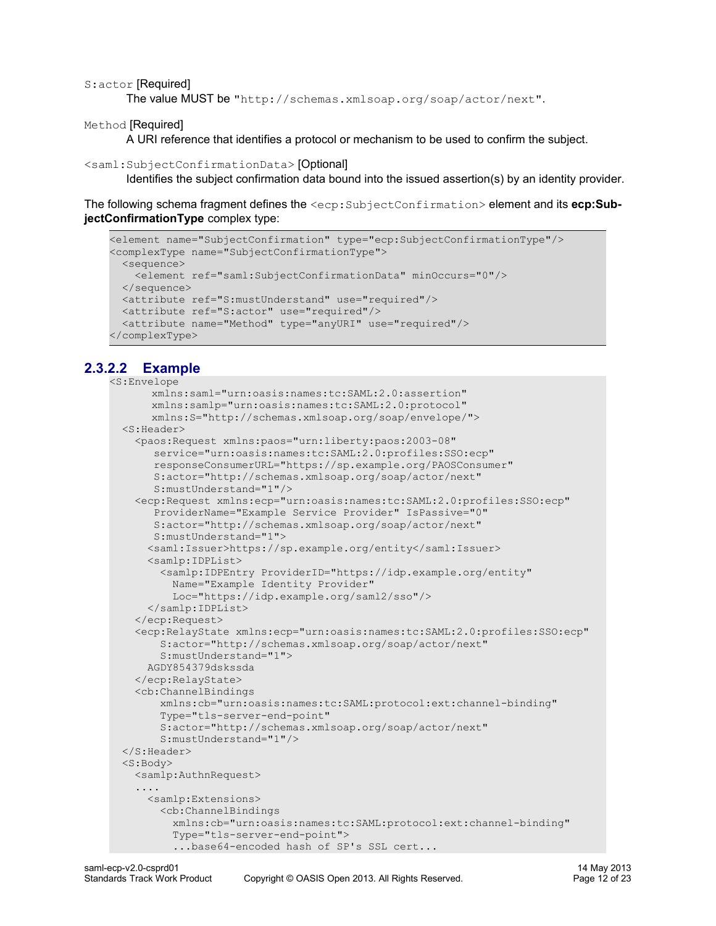#### S:actor [Required]

The value MUST be "http://schemas.xmlsoap.org/soap/actor/next".

Method [Required]

A URI reference that identifies a protocol or mechanism to be used to confirm the subject.

#### <saml:SubjectConfirmationData> [Optional]

Identifies the subject confirmation data bound into the issued assertion(s) by an identity provider.

The following schema fragment defines the <ecp:SubjectConfirmation> element and its **ecp:SubjectConfirmationType** complex type:

```
<element name="SubjectConfirmation" type="ecp:SubjectConfirmationType"/>
<complexType name="SubjectConfirmationType">
   <sequence>
    <element ref="saml:SubjectConfirmationData" minOccurs="0"/>
  </sequence>
  <attribute ref="S:mustUnderstand" use="required"/>
  <attribute ref="S:actor" use="required"/>
  <attribute name="Method" type="anyURI" use="required"/>
</complexType>
```
# **2.3.2.2 Example**

```
<S:Envelope
      xmlns:saml="urn:oasis:names:tc:SAML:2.0:assertion"
      xmlns:samlp="urn:oasis:names:tc:SAML:2.0:protocol"
      xmlns:S="http://schemas.xmlsoap.org/soap/envelope/">
   <S:Header>
     <paos:Request xmlns:paos="urn:liberty:paos:2003-08"
       service="urn:oasis:names:tc:SAML:2.0:profiles:SSO:ecp"
       responseConsumerURL="https://sp.example.org/PAOSConsumer"
       S:actor="http://schemas.xmlsoap.org/soap/actor/next"
        S:mustUnderstand="1"/>
     <ecp:Request xmlns:ecp="urn:oasis:names:tc:SAML:2.0:profiles:SSO:ecp"
        ProviderName="Example Service Provider" IsPassive="0"
        S:actor="http://schemas.xmlsoap.org/soap/actor/next"
       S:mustUnderstand="1">
       <saml:Issuer>https://sp.example.org/entity</saml:Issuer>
       <samlp:IDPList>
         <samlp:IDPEntry ProviderID="https://idp.example.org/entity"
          Name="Example Identity Provider"
          Loc="https://idp.example.org/saml2/sso"/>
      </samlp:IDPList>
     </ecp:Request>
     <ecp:RelayState xmlns:ecp="urn:oasis:names:tc:SAML:2.0:profiles:SSO:ecp"
         S:actor="http://schemas.xmlsoap.org/soap/actor/next"
         S:mustUnderstand="1">
      AGDY854379dskssda
    </ecp:RelayState>
     <cb:ChannelBindings
         xmlns:cb="urn:oasis:names:tc:SAML:protocol:ext:channel-binding"
         Type="tls-server-end-point"
         S:actor="http://schemas.xmlsoap.org/soap/actor/next"
        S:mustUnderstand="1"/>
   </S:Header>
  <S:Body>
    <samlp:AuthnRequest>
     ....
      <samlp:Extensions>
         <cb:ChannelBindings
          xmlns:cb="urn:oasis:names:tc:SAML:protocol:ext:channel-binding"
           Type="tls-server-end-point">
           ...base64-encoded hash of SP's SSL cert...
```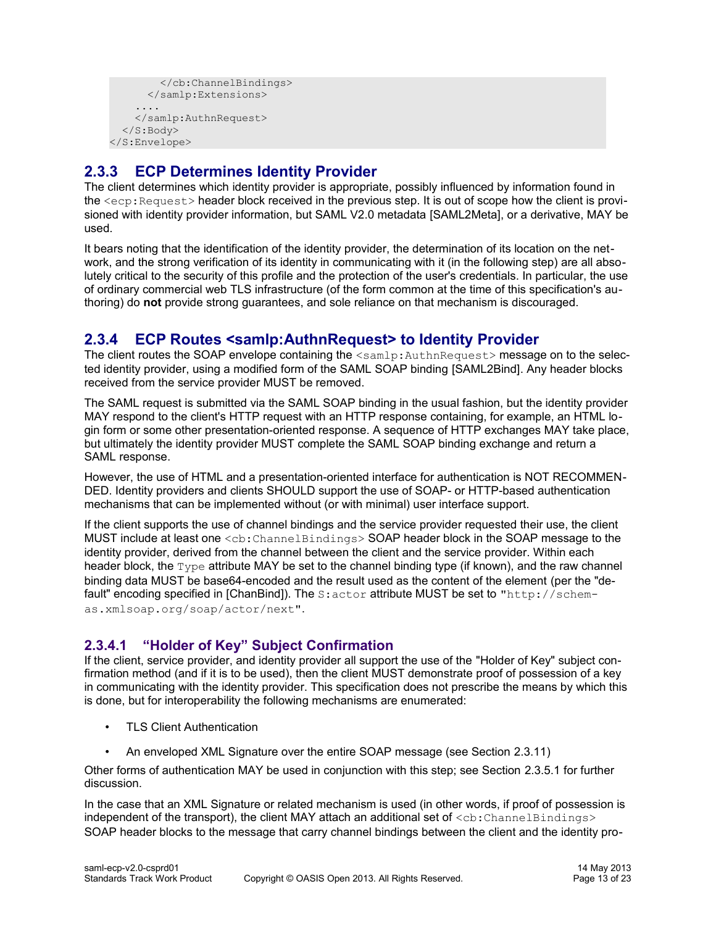```
 </cb:ChannelBindings>
       </samlp:Extensions>
 ....
    </samlp:AuthnRequest>
   </S:Body>
</S:Envelope>
```
# <span id="page-12-2"></span>**2.3.3 ECP Determines Identity Provider**

The client determines which identity provider is appropriate, possibly influenced by information found in the <ecp:Request> header block received in the previous step. It is out of scope how the client is provisioned with identity provider information, but SAML V2.0 metadata [\[SAML2Meta\],](#page-6-1) or a derivative, MAY be used.

It bears noting that the identification of the identity provider, the determination of its location on the network, and the strong verification of its identity in communicating with it (in the following step) are all absolutely critical to the security of this profile and the protection of the user's credentials. In particular, the use of ordinary commercial web TLS infrastructure (of the form common at the time of this specification's authoring) do **not** provide strong guarantees, and sole reliance on that mechanism is discouraged.

# <span id="page-12-1"></span>**2.3.4 ECP Routes <samlp:AuthnRequest> to Identity Provider**

The client routes the SOAP envelope containing the  $\leq$ samlp:AuthnRequest> message on to the selected identity provider, using a modified form of the SAML SOAP binding [\[SAML2Bind\].](#page-6-10) Any header blocks received from the service provider MUST be removed.

The SAML request is submitted via the SAML SOAP binding in the usual fashion, but the identity provider MAY respond to the client's HTTP request with an HTTP response containing, for example, an HTML login form or some other presentation-oriented response. A sequence of HTTP exchanges MAY take place, but ultimately the identity provider MUST complete the SAML SOAP binding exchange and return a SAML response.

However, the use of HTML and a presentation-oriented interface for authentication is NOT RECOMMEN-DED. Identity providers and clients SHOULD support the use of SOAP- or HTTP-based authentication mechanisms that can be implemented without (or with minimal) user interface support.

If the client supports the use of channel bindings and the service provider requested their use, the client MUST include at least one <cb:ChannelBindings> SOAP header block in the SOAP message to the identity provider, derived from the channel between the client and the service provider. Within each header block, the  $Type$  attribute MAY be set to the channel binding type (if known), and the raw channel binding data MUST be base64-encoded and the result used as the content of the element (per the "de-fault" encoding specified in [\[ChanBind\]\)](#page-5-2). The S: actor attribute MUST be set to "http://schemas.xmlsoap.org/soap/actor/next".

# <span id="page-12-0"></span>**2.3.4.1 "Holder of Key" Subject Confirmation**

If the client, service provider, and identity provider all support the use of the "Holder of Key" subject confirmation method (and if it is to be used), then the client MUST demonstrate proof of possession of a key in communicating with the identity provider. This specification does not prescribe the means by which this is done, but for interoperability the following mechanisms are enumerated:

- TLS Client Authentication
- An enveloped XML Signature over the entire SOAP message (see Section [2.3.11\)](#page-19-0)

Other forms of authentication MAY be used in conjunction with this step; see Section [2.3.5.1](#page-13-0) for further discussion.

In the case that an XML Signature or related mechanism is used (in other words, if proof of possession is independent of the transport), the client MAY attach an additional set of  $\langle$ cb:ChannelBindings> SOAP header blocks to the message that carry channel bindings between the client and the identity pro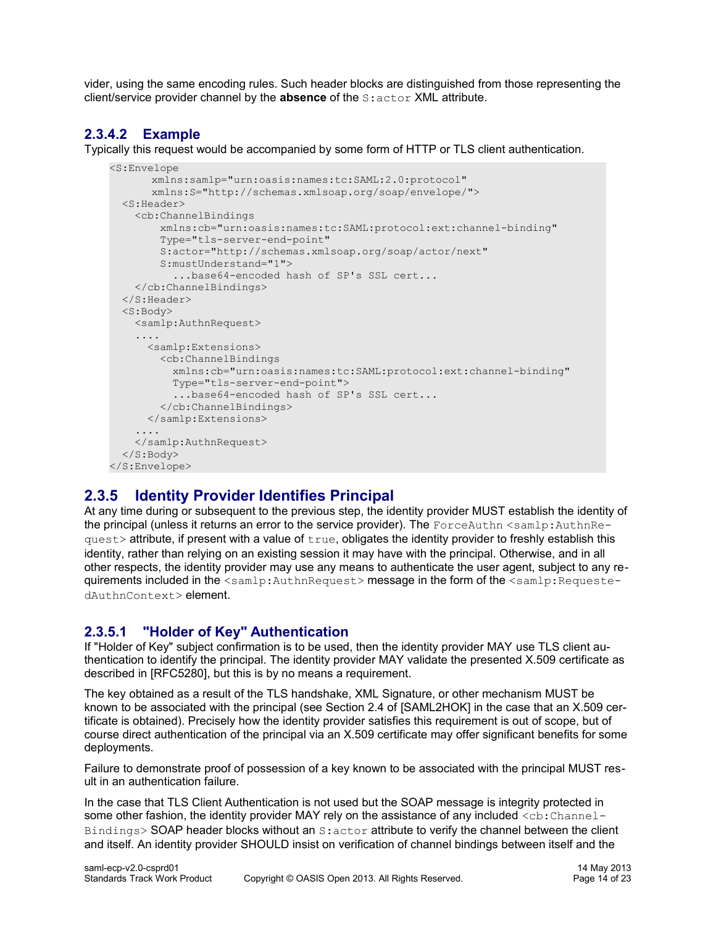vider, using the same encoding rules. Such header blocks are distinguished from those representing the client/service provider channel by the **absence** of the S:actor XML attribute.

# **2.3.4.2 Example**

Typically this request would be accompanied by some form of HTTP or TLS client authentication.

```
<S:Envelope
      xmlns:samlp="urn:oasis:names:tc:SAML:2.0:protocol"
      xmlns:S="http://schemas.xmlsoap.org/soap/envelope/">
   <S:Header>
     <cb:ChannelBindings
         xmlns:cb="urn:oasis:names:tc:SAML:protocol:ext:channel-binding"
         Type="tls-server-end-point"
        S:actor="http://schemas.xmlsoap.org/soap/actor/next"
        S:mustUnderstand="1">
          ...base64-encoded hash of SP's SSL cert...
    </cb:ChannelBindings>
   </S:Header>
   <S:Body>
    <samlp:AuthnRequest>
 ....
      <samlp:Extensions>
        <cb:ChannelBindings
          xmlns:cb="urn:oasis:names:tc:SAML:protocol:ext:channel-binding"
          Type="tls-server-end-point">
           ...base64-encoded hash of SP's SSL cert...
        </cb:ChannelBindings>
      </samlp:Extensions>
 ....
    </samlp:AuthnRequest>
  </S:Body>
</S:Envelope>
```
# <span id="page-13-1"></span>**2.3.5 Identity Provider Identifies Principal**

At any time during or subsequent to the previous step, the identity provider MUST establish the identity of the principal (unless it returns an error to the service provider). The ForceAuthn  $\leq$ samlp:AuthnRe $ques$ t> attribute, if present with a value of  $true$ , obligates the identity provider to freshly establish this identity, rather than relying on an existing session it may have with the principal. Otherwise, and in all other respects, the identity provider may use any means to authenticate the user agent, subject to any requirements included in the <samlp:AuthnRequest> message in the form of the <samlp:RequestedAuthnContext> element.

# <span id="page-13-0"></span>**2.3.5.1 "Holder of Key" Authentication**

If "Holder of Key" subject confirmation is to be used, then the identity provider MAY use TLS client authentication to identify the principal. The identity provider MAY validate the presented X.509 certificate as described in [\[RFC5280\],](#page-6-11) but this is by no means a requirement.

The key obtained as a result of the TLS handshake, XML Signature, or other mechanism MUST be known to be associated with the principal (see Section 2.4 of [\[SAML2HOK\]](#page-6-0) in the case that an X.509 certificate is obtained). Precisely how the identity provider satisfies this requirement is out of scope, but of course direct authentication of the principal via an X.509 certificate may offer significant benefits for some deployments.

Failure to demonstrate proof of possession of a key known to be associated with the principal MUST result in an authentication failure.

In the case that TLS Client Authentication is not used but the SOAP message is integrity protected in some other fashion, the identity provider MAY rely on the assistance of any included <cb: Channel-Bindings> SOAP header blocks without an S:actor attribute to verify the channel between the client and itself. An identity provider SHOULD insist on verification of channel bindings between itself and the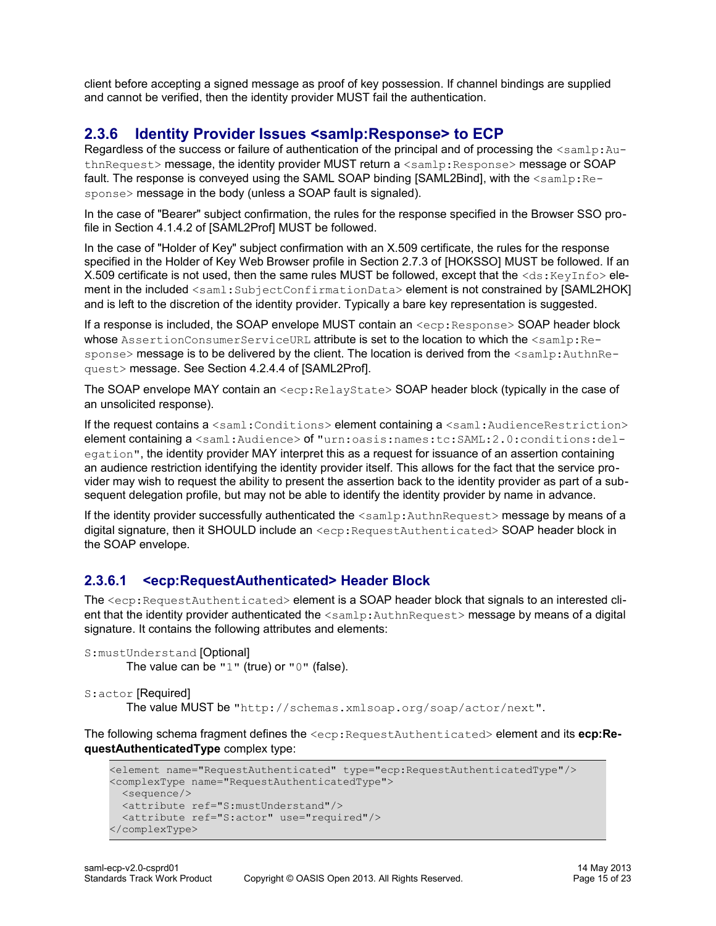client before accepting a signed message as proof of key possession. If channel bindings are supplied and cannot be verified, then the identity provider MUST fail the authentication.

# <span id="page-14-1"></span>**2.3.6 Identity Provider Issues <samlp:Response> to ECP**

Regardless of the success or failure of authentication of the principal and of processing the  $\langle \text{samlp:Au} - \rangle$ thnRequest> message, the identity provider MUST return a <samlp: Response> message or SOAP fault. The response is conveyed using the SAML SOAP binding [\[SAML2Bind\],](#page-6-10) with the  $\leq$ samlp:Response> message in the body (unless a SOAP fault is signaled).

In the case of "Bearer" subject confirmation, the rules for the response specified in the Browser SSO profile in Section 4.1.4.2 of [\[SAML2Prof\]](#page-7-8) MUST be followed.

In the case of "Holder of Key" subject confirmation with an X.509 certificate, the rules for the response specified in the Holder of Key Web Browser profile in Section 2.7.3 of [\[HOKSSO\]](#page-6-4) MUST be followed. If an X.509 certificate is not used, then the same rules MUST be followed, except that the <ds:KeyInfo>ele-ment in the included <saml:SubjectConfirmationData> element is not constrained by [\[SAML2HOK\]](#page-6-0) and is left to the discretion of the identity provider. Typically a bare key representation is suggested.

If a response is included, the SOAP envelope MUST contain an  $\langle$ ecp: Response> SOAP header block whose AssertionConsumerServiceURL attribute is set to the location to which the <samlp:Response> message is to be delivered by the client. The location is derived from the <samlp:AuthnRequest> message. See Section 4.2.4.4 of [\[SAML2Prof\].](#page-7-8)

The SOAP envelope MAY contain an <ecp: RelayState> SOAP header block (typically in the case of an unsolicited response).

If the request contains a <saml:Conditions> element containing a <saml:AudienceRestriction> element containing a <saml:Audience> of "urn:oasis:names:tc:SAML:2.0:conditions:delegation", the identity provider MAY interpret this as a request for issuance of an assertion containing an audience restriction identifying the identity provider itself. This allows for the fact that the service provider may wish to request the ability to present the assertion back to the identity provider as part of a subsequent delegation profile, but may not be able to identify the identity provider by name in advance.

If the identity provider successfully authenticated the  $\leq$ samlp:AuthnRequest> message by means of a digital signature, then it SHOULD include an  $\langle exp:RequestAuthorlicate \> SOAP header block in$ the SOAP envelope.

# <span id="page-14-0"></span>**2.3.6.1 <ecp:RequestAuthenticated> Header Block**

The <ecp: RequestAuthenticated> element is a SOAP header block that signals to an interested client that the identity provider authenticated the <samlp:AuthnRequest> message by means of a digital signature. It contains the following attributes and elements:

```
S:mustUnderstand [Optional]
       The value can be "1" (true) or "0" (false).
```

```
S:actor [Required]
```
The value MUST be "http://schemas.xmlsoap.org/soap/actor/next".

The following schema fragment defines the <ecp:RequestAuthenticated> element and its **ecp:RequestAuthenticatedType** complex type:

```
<element name="RequestAuthenticated" type="ecp:RequestAuthenticatedType"/>
<complexType name="RequestAuthenticatedType">
  <sequence/>
  <attribute ref="S:mustUnderstand"/>
  <attribute ref="S:actor" use="required"/>
</complexType>
```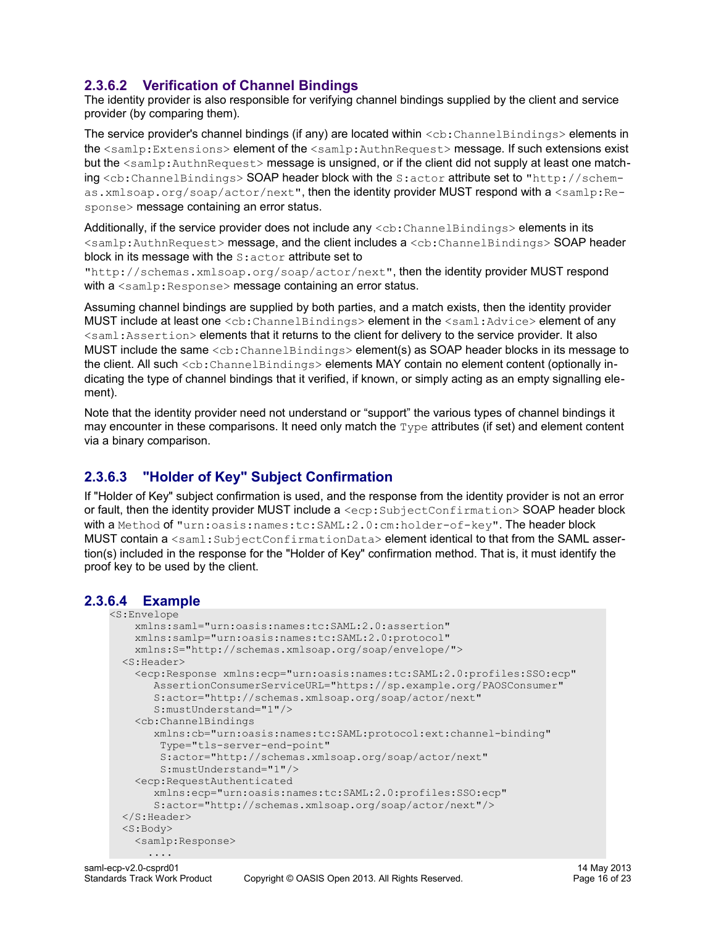# <span id="page-15-2"></span>**2.3.6.2 Verification of Channel Bindings**

The identity provider is also responsible for verifying channel bindings supplied by the client and service provider (by comparing them).

The service provider's channel bindings (if any) are located within <cb: ChannelBindings> elements in the <samlp:Extensions> element of the <samlp:AuthnRequest> message. If such extensions exist but the <samlp:AuthnRequest> message is unsigned, or if the client did not supply at least one matching <cb:ChannelBindings> SOAP header block with the S:actor attribute set to "http://schemas.xmlsoap.org/soap/actor/next", then the identity provider MUST respond with a <samlp:Response> message containing an error status.

Additionally, if the service provider does not include any  $\langle$ cb:ChannelBindings> elements in its <samlp:AuthnRequest> message, and the client includes a <cb:ChannelBindings> SOAP header block in its message with the  $s$ : actor attribute set to

"http://schemas.xmlsoap.org/soap/actor/next", then the identity provider MUST respond with  $a \leq \text{amlp}:$  Response> message containing an error status.

Assuming channel bindings are supplied by both parties, and a match exists, then the identity provider MUST include at least one <cb: ChannelBindings> element in the <saml: Advice> element of any <saml:Assertion> elements that it returns to the client for delivery to the service provider. It also MUST include the same <cb: ChannelBindings> element(s) as SOAP header blocks in its message to the client. All such <cb: ChannelBindings> elements MAY contain no element content (optionally indicating the type of channel bindings that it verified, if known, or simply acting as an empty signalling element).

Note that the identity provider need not understand or "support" the various types of channel bindings it may encounter in these comparisons. It need only match the  $Type$  attributes (if set) and element content via a binary comparison.

# <span id="page-15-1"></span>**2.3.6.3 "Holder of Key" Subject Confirmation**

If "Holder of Key" subject confirmation is used, and the response from the identity provider is not an error or fault, then the identity provider MUST include a <ecp: SubjectConfirmation> SOAP header block with a Method of "urn:oasis:names:tc:SAML:2.0:cm:holder-of-key". The header block MUST contain a <saml:SubjectConfirmationData> element identical to that from the SAML assertion(s) included in the response for the "Holder of Key" confirmation method. That is, it must identify the proof key to be used by the client.

# **2.3.6.4 Example**

```
<S:Envelope
    xmlns:saml="urn:oasis:names:tc:SAML:2.0:assertion"
    xmlns:samlp="urn:oasis:names:tc:SAML:2.0:protocol"
    xmlns:S="http://schemas.xmlsoap.org/soap/envelope/">
   <S:Header>
     <ecp:Response xmlns:ecp="urn:oasis:names:tc:SAML:2.0:profiles:SSO:ecp"
        AssertionConsumerServiceURL="https://sp.example.org/PAOSConsumer" 
        S:actor="http://schemas.xmlsoap.org/soap/actor/next"
        S:mustUnderstand="1"/>
     <cb:ChannelBindings
        xmlns:cb="urn:oasis:names:tc:SAML:protocol:ext:channel-binding"
         Type="tls-server-end-point"
        S:actor="http://schemas.xmlsoap.org/soap/actor/next"
        S:mustUnderstand="1"/>
     <ecp:RequestAuthenticated 
       xmlns:ecp="urn:oasis:names:tc:SAML:2.0:profiles:SSO:ecp"
       S:actor="http://schemas.xmlsoap.org/soap/actor/next"/>
   </S:Header>
   <S:Body>
    <samlp:Response>
       ....
```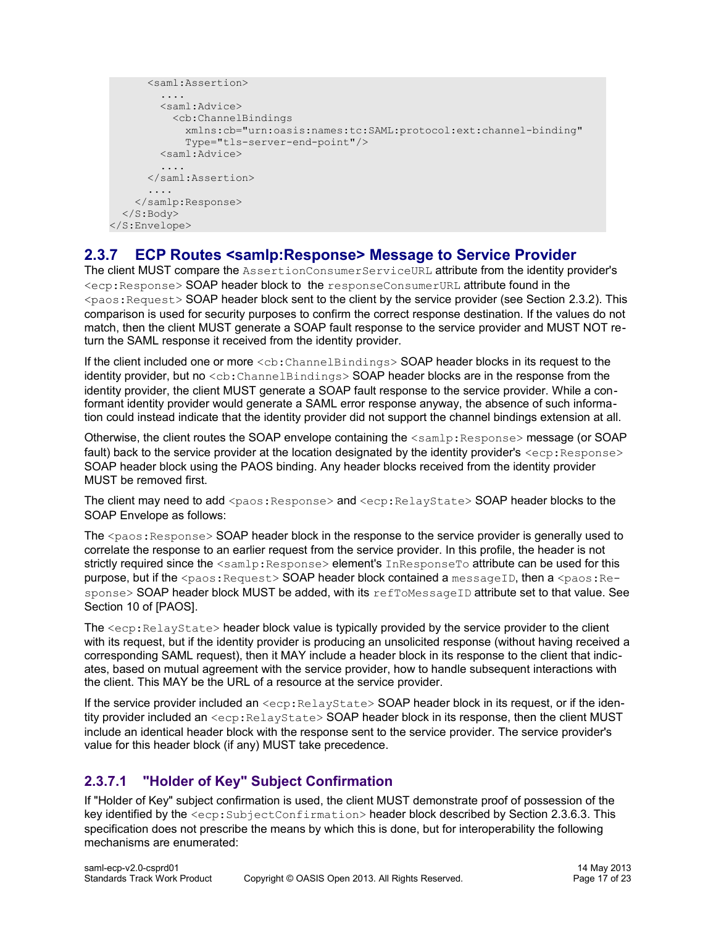```
 <saml:Assertion>
         ....
         <saml:Advice>
           <cb:ChannelBindings
              xmlns:cb="urn:oasis:names:tc:SAML:protocol:ext:channel-binding"
              Type="tls-server-end-point"/>
         <saml:Advice>
          ....
       </saml:Assertion>
       ....
     </samlp:Response>
   </S:Body>
</S:Envelope>
```
# <span id="page-16-1"></span>**2.3.7 ECP Routes <samlp:Response> Message to Service Provider**

The client MUST compare the AssertionConsumerServiceURL attribute from the identity provider's <ecp:Response> SOAP header block to the responseConsumerURL attribute found in the  $\langle$ paos: Request> SOAP header block sent to the client by the service provider (see Section [2.3.2\)](#page-9-0). This comparison is used for security purposes to confirm the correct response destination. If the values do not match, then the client MUST generate a SOAP fault response to the service provider and MUST NOT return the SAML response it received from the identity provider.

If the client included one or more  $\langle$ cb:ChannelBindings> SOAP header blocks in its request to the identity provider, but no <cb: ChannelBindings> SOAP header blocks are in the response from the identity provider, the client MUST generate a SOAP fault response to the service provider. While a conformant identity provider would generate a SAML error response anyway, the absence of such information could instead indicate that the identity provider did not support the channel bindings extension at all.

Otherwise, the client routes the SOAP envelope containing the <samlp:Response> message (or SOAP fault) back to the service provider at the location designated by the identity provider's  $\langle$ ecp: Response $\rangle$ SOAP header block using the PAOS binding. Any header blocks received from the identity provider MUST be removed first.

The client may need to add <paos: Response> and <ecp: RelayState> SOAP header blocks to the SOAP Envelope as follows:

The  $<$ paos: Response $>$  SOAP header block in the response to the service provider is generally used to correlate the response to an earlier request from the service provider. In this profile, the header is not strictly required since the <samlp:Response> element's InResponseTo attribute can be used for this purpose, but if the <paos: Request> SOAP header block contained a messageID, then a <paos: Response> SOAP header block MUST be added, with its refToMessageID attribute set to that value. See Section 10 of [\[PAOS\].](#page-6-8)

The  $\langle exp:RelayState\rangle$  header block value is typically provided by the service provider to the client with its request, but if the identity provider is producing an unsolicited response (without having received a corresponding SAML request), then it MAY include a header block in its response to the client that indicates, based on mutual agreement with the service provider, how to handle subsequent interactions with the client. This MAY be the URL of a resource at the service provider.

If the service provider included an  $\langle$ ecp:RelayState> SOAP header block in its request, or if the identity provider included an <ecp: RelayState> SOAP header block in its response, then the client MUST include an identical header block with the response sent to the service provider. The service provider's value for this header block (if any) MUST take precedence.

# <span id="page-16-0"></span>**2.3.7.1 "Holder of Key" Subject Confirmation**

If "Holder of Key" subject confirmation is used, the client MUST demonstrate proof of possession of the key identified by the  $\langle$ ecp:SubjectConfirmation> header block described by Section [2.3.6.3.](#page-15-1) This specification does not prescribe the means by which this is done, but for interoperability the following mechanisms are enumerated: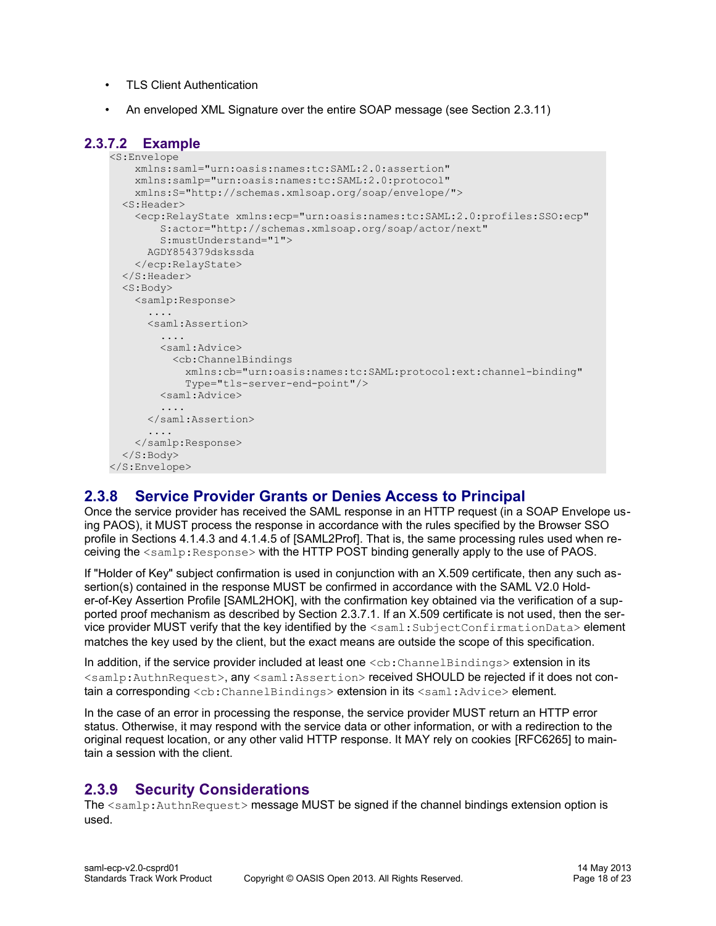- TLS Client Authentication
- An enveloped XML Signature over the entire SOAP message (see Section [2.3.11\)](#page-19-0)

### **2.3.7.2 Example**

```
<S:Envelope
    xmlns:saml="urn:oasis:names:tc:SAML:2.0:assertion"
     xmlns:samlp="urn:oasis:names:tc:SAML:2.0:protocol"
    xmlns:S="http://schemas.xmlsoap.org/soap/envelope/">
   <S:Header>
     <ecp:RelayState xmlns:ecp="urn:oasis:names:tc:SAML:2.0:profiles:SSO:ecp"
         S:actor="http://schemas.xmlsoap.org/soap/actor/next"
         S:mustUnderstand="1">
       AGDY854379dskssda
     </ecp:RelayState>
   </S:Header>
   <S:Body>
     <samlp:Response>
      ....
       <saml:Assertion>
         ....
        <saml:Advice>
           <cb:ChannelBindings
             xmlns:cb="urn:oasis:names:tc:SAML:protocol:ext:channel-binding"
             Type="tls-server-end-point"/>
         <saml:Advice>
         ....
       </saml:Assertion>
       ....
    </samlp:Response>
  </S:Body>
</S:Envelope>
```
# <span id="page-17-1"></span>**2.3.8 Service Provider Grants or Denies Access to Principal**

Once the service provider has received the SAML response in an HTTP request (in a SOAP Envelope using PAOS), it MUST process the response in accordance with the rules specified by the Browser SSO profile in Sections 4.1.4.3 and 4.1.4.5 of [\[SAML2Prof\].](#page-7-8) That is, the same processing rules used when receiving the <samlp:Response> with the HTTP POST binding generally apply to the use of PAOS.

If "Holder of Key" subject confirmation is used in conjunction with an X.509 certificate, then any such assertion(s) contained in the response MUST be confirmed in accordance with the SAML V2.0 Holder-of-Key Assertion Profile [\[SAML2HOK\],](#page-6-0) with the confirmation key obtained via the verification of a supported proof mechanism as described by Section [2.3.7.1.](#page-16-0) If an X.509 certificate is not used, then the service provider MUST verify that the key identified by the <saml:SubjectConfirmationData> element matches the key used by the client, but the exact means are outside the scope of this specification.

In addition, if the service provider included at least one  $\langle$ cb: ChannelBindings> extension in its <samlp:AuthnRequest>, any <saml:Assertion> received SHOULD be rejected if it does not contain a corresponding <cb:ChannelBindings> extension in its <saml:Advice> element.

In the case of an error in processing the response, the service provider MUST return an HTTP error status. Otherwise, it may respond with the service data or other information, or with a redirection to the original request location, or any other valid HTTP response. It MAY rely on cookies [\[RFC6265\]](#page-6-12) to maintain a session with the client.

# <span id="page-17-0"></span>**2.3.9 Security Considerations**

The <samlp:AuthnRequest> message MUST be signed if the channel bindings extension option is used.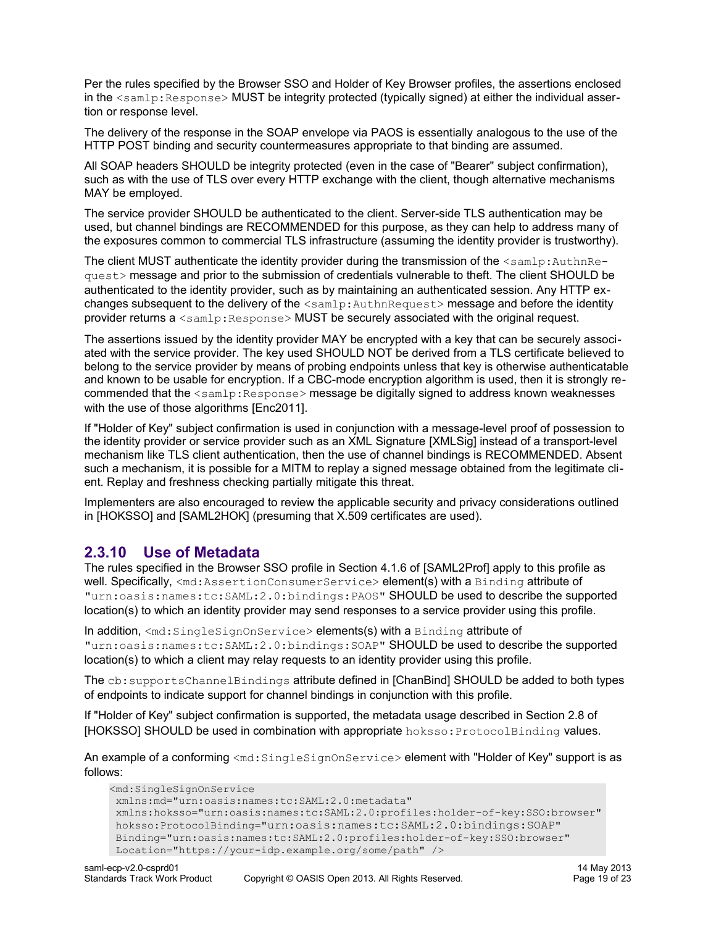Per the rules specified by the Browser SSO and Holder of Key Browser profiles, the assertions enclosed in the  $\leq$ samlp:Response> MUST be integrity protected (typically signed) at either the individual assertion or response level.

The delivery of the response in the SOAP envelope via PAOS is essentially analogous to the use of the HTTP POST binding and security countermeasures appropriate to that binding are assumed.

All SOAP headers SHOULD be integrity protected (even in the case of "Bearer" subject confirmation), such as with the use of TLS over every HTTP exchange with the client, though alternative mechanisms MAY be employed.

The service provider SHOULD be authenticated to the client. Server-side TLS authentication may be used, but channel bindings are RECOMMENDED for this purpose, as they can help to address many of the exposures common to commercial TLS infrastructure (assuming the identity provider is trustworthy).

The client MUST authenticate the identity provider during the transmission of the <samlp:AuthnRequest> message and prior to the submission of credentials vulnerable to theft. The client SHOULD be authenticated to the identity provider, such as by maintaining an authenticated session. Any HTTP exchanges subsequent to the delivery of the  $\leq$ samlp:AuthnRequest> message and before the identity provider returns a  $\leq$ samlp: Response> MUST be securely associated with the original request.

The assertions issued by the identity provider MAY be encrypted with a key that can be securely associated with the service provider. The key used SHOULD NOT be derived from a TLS certificate believed to belong to the service provider by means of probing endpoints unless that key is otherwise authenticatable and known to be usable for encryption. If a CBC-mode encryption algorithm is used, then it is strongly recommended that the  $\leq$ samlp:Response> message be digitally signed to address known weaknesses with the use of those algorithms [\[Enc2011\].](#page-7-9)

If "Holder of Key" subject confirmation is used in conjunction with a message-level proof of possession to the identity provider or service provider such as an XML Signature [\[XMLSig\]](#page-7-1) instead of a transport-level mechanism like TLS client authentication, then the use of channel bindings is RECOMMENDED. Absent such a mechanism, it is possible for a MITM to replay a signed message obtained from the legitimate client. Replay and freshness checking partially mitigate this threat.

Implementers are also encouraged to review the applicable security and privacy considerations outlined in [\[HOKSSO\]](#page-6-4) and [\[SAML2HOK\]](#page-6-0) (presuming that X.509 certificates are used).

### <span id="page-18-0"></span>**2.3.10 Use of Metadata**

The rules specified in the Browser SSO profile in Section 4.1.6 of [\[SAML2Prof\]](#page-7-8) apply to this profile as well. Specifically, <md:AssertionConsumerService> element(s) with a Binding attribute of "urn:oasis:names:tc:SAML:2.0:bindings:PAOS" SHOULD be used to describe the supported location(s) to which an identity provider may send responses to a service provider using this profile.

In addition, <md:SingleSignOnService> elements(s) with a Binding attribute of "urn:oasis:names:tc:SAML:2.0:bindings:SOAP" SHOULD be used to describe the supported location(s) to which a client may relay requests to an identity provider using this profile.

The cb:supportsChannelBindings attribute defined in [\[ChanBind\]](#page-5-2) SHOULD be added to both types of endpoints to indicate support for channel bindings in conjunction with this profile.

If "Holder of Key" subject confirmation is supported, the metadata usage described in Section 2.8 of [\[HOKSSO\]](#page-6-4) SHOULD be used in combination with appropriate hoksso: ProtocolBinding values.

An example of a conforming <md:SingleSignOnService> element with "Holder of Key" support is as follows:

```
<md:SingleSignOnService
 xmlns:md="urn:oasis:names:tc:SAML:2.0:metadata" 
 xmlns:hoksso="urn:oasis:names:tc:SAML:2.0:profiles:holder-of-key:SSO:browser"
 hoksso:ProtocolBinding="urn:oasis:names:tc:SAML:2.0:bindings:SOAP"
 Binding="urn:oasis:names:tc:SAML:2.0:profiles:holder-of-key:SSO:browser"
 Location="https://your-idp.example.org/some/path" />
```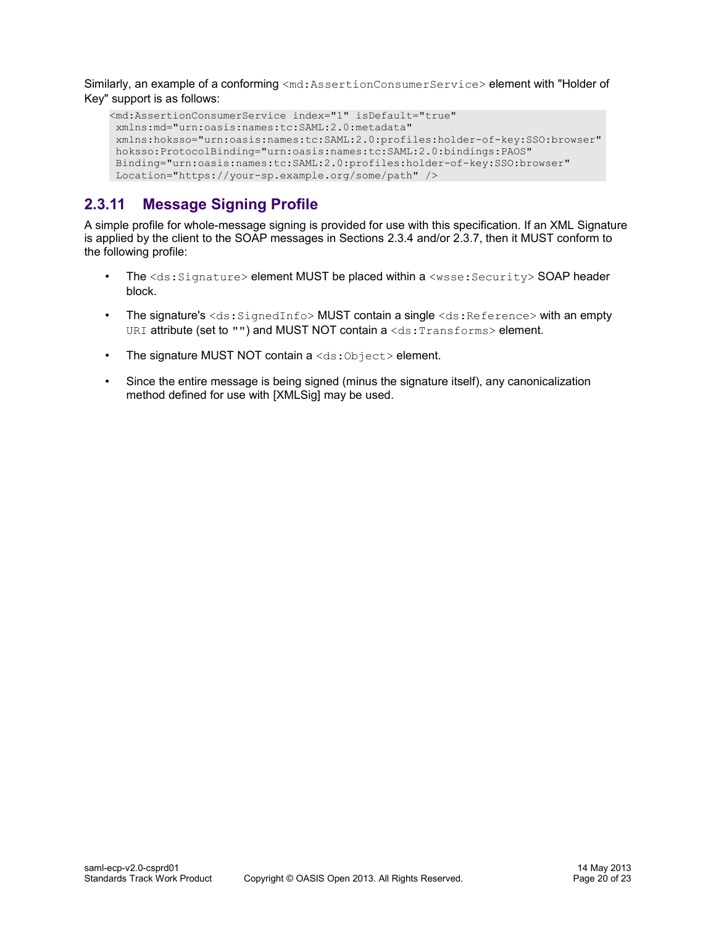Similarly, an example of a conforming <md:AssertionConsumerService> element with "Holder of Key" support is as follows:

```
<md:AssertionConsumerService index="1" isDefault="true"
 xmlns:md="urn:oasis:names:tc:SAML:2.0:metadata"
 xmlns:hoksso="urn:oasis:names:tc:SAML:2.0:profiles:holder-of-key:SSO:browser"
 hoksso:ProtocolBinding="urn:oasis:names:tc:SAML:2.0:bindings:PAOS"
 Binding="urn:oasis:names:tc:SAML:2.0:profiles:holder-of-key:SSO:browser"
 Location="https://your-sp.example.org/some/path" />
```
# <span id="page-19-0"></span>**2.3.11 Message Signing Profile**

A simple profile for whole-message signing is provided for use with this specification. If an XML Signature is applied by the client to the SOAP messages in Sections [2.3.4](#page-12-1) and/or [2.3.7,](#page-16-1) then it MUST conform to the following profile:

- The  $\text{&ds:Signature> element MUST$  be placed within a  $\text{&wsse:Security> SOAP header}$ block.
- The signature's  $\langle ds : S \text{ is the distance of } s \rangle$  MUST contain a single  $\langle ds : R \text{ is the distance of } s \rangle$  with an empty URI attribute (set to "") and MUST NOT contain a <ds: Transforms> element.
- The signature MUST NOT contain  $a \leq ds : 0 \text{ objects} >$  element.
- Since the entire message is being signed (minus the signature itself), any canonicalization method defined for use with [\[XMLSig\]](#page-7-1) may be used.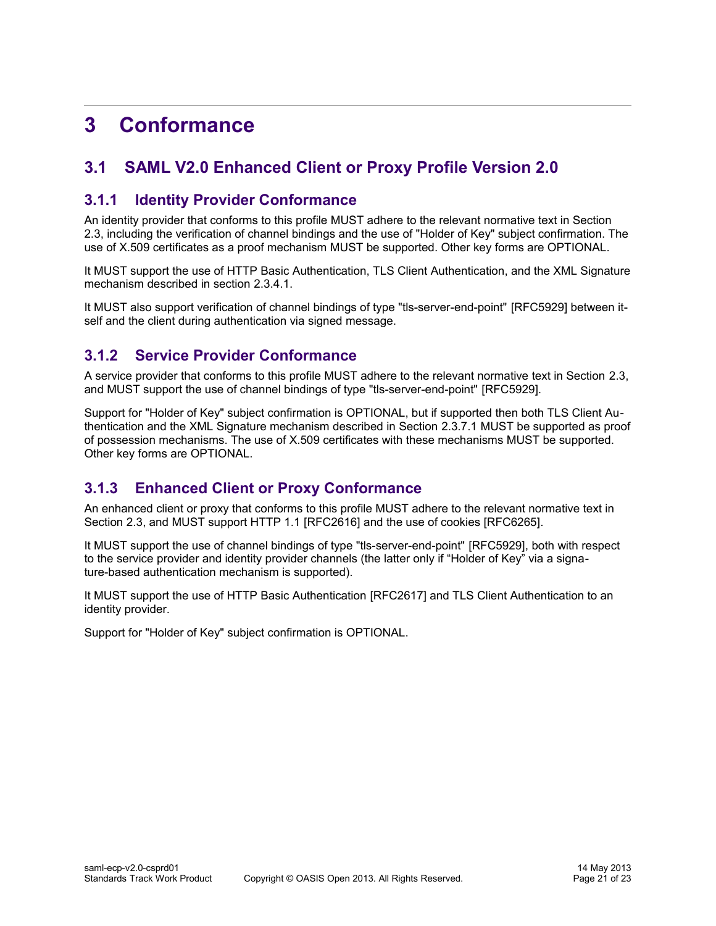# <span id="page-20-4"></span>**3 Conformance**

# <span id="page-20-3"></span>**3.1 SAML V2.0 Enhanced Client or Proxy Profile Version 2.0**

### <span id="page-20-2"></span>**3.1.1 Identity Provider Conformance**

An identity provider that conforms to this profile MUST adhere to the relevant normative text in Sectio[n](#page-8-1) [2.3,](#page-8-1) including the verification of channel bindings and the use of "Holder of Key" subject confirmation. The use of X.509 certificates as a proof mechanism MUST be supported. Other key forms are OPTIONAL.

It MUST support the use of HTTP Basic Authentication, TLS Client Authentication, and the XML Signature mechanism described in section [2.3.4.1.](#page-12-0)

It MUST also support verification of channel bindings of type "tls-server-end-point" [\[RFC5929\]](#page-6-14) between itself and the client during authentication via signed message.

# <span id="page-20-1"></span>**3.1.2 Service Provider Conformance**

A service provider that conforms to this profile MUST adhere to the relevant normative text in Section [2.3,](#page-8-1) and MUST support the use of channel bindings of type "tls-server-end-point" [\[RFC5929\].](#page-6-14)

Support for "Holder of Key" subject confirmation is OPTIONAL, but if supported then both TLS Client Authentication and the XML Signature mechanism described in Section [2.3.7.1](#page-16-0) MUST be supported as proof of possession mechanisms. The use of X.509 certificates with these mechanisms MUST be supported. Other key forms are OPTIONAL.

# <span id="page-20-0"></span>**3.1.3 Enhanced Client or Proxy Conformance**

An enhanced client or proxy that conforms to this profile MUST adhere to the relevant normative text in Section [2.3,](#page-8-1) and MUST support HTTP 1.1 [\[RFC2616\]](#page-6-15) and the use of cookies [\[RFC6265\].](#page-6-12)

It MUST support the use of channel bindings of type "tls-server-end-point" [\[RFC5929\],](#page-6-14) both with respect to the service provider and identity provider channels (the latter only if "Holder of Key" via a signature-based authentication mechanism is supported).

It MUST support the use of HTTP Basic Authentication [\[RFC2617\]](#page-6-13) and TLS Client Authentication to an identity provider.

Support for "Holder of Key" subject confirmation is OPTIONAL.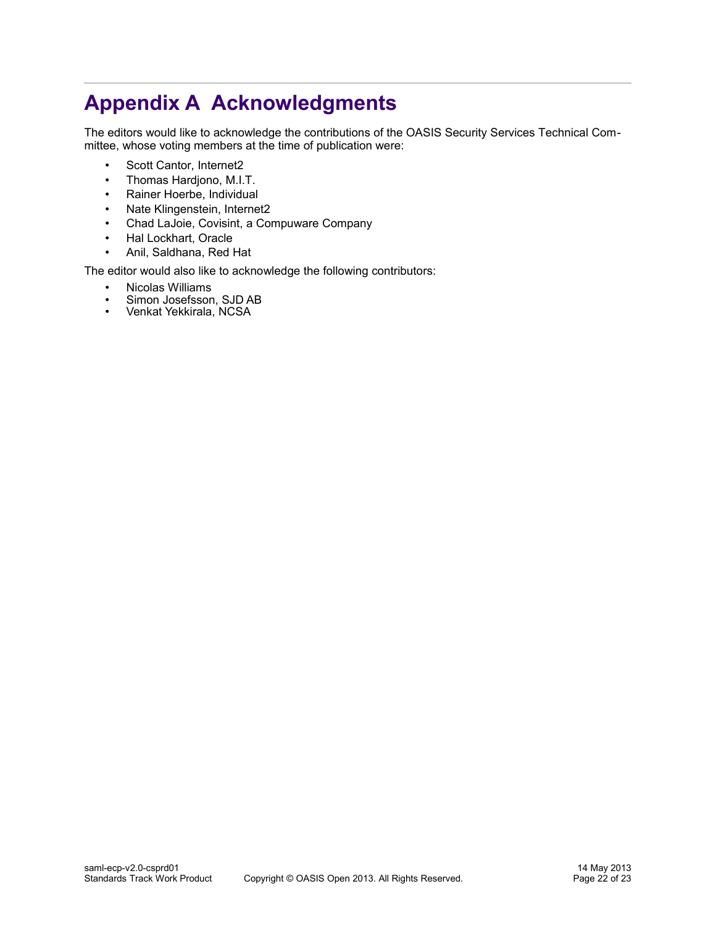# **Appendix A Acknowledgments**

The editors would like to acknowledge the contributions of the OASIS Security Services Technical Committee, whose voting members at the time of publication were:

- <span id="page-21-0"></span>• Scott Cantor, Internet2
- Thomas Hardjono, M.I.T.
- Rainer Hoerbe, Individual
- Nate Klingenstein, Internet2
- Chad LaJoie, Covisint, a Compuware Company
- Hal Lockhart, Oracle
- Anil, Saldhana, Red Hat

The editor would also like to acknowledge the following contributors:

- Nicolas Williams<br>• Simon Josefsson
- Simon Josefsson, SJD AB<br>• Venkat Yekkirala, NCSA
- Venkat Yekkirala, NCSA